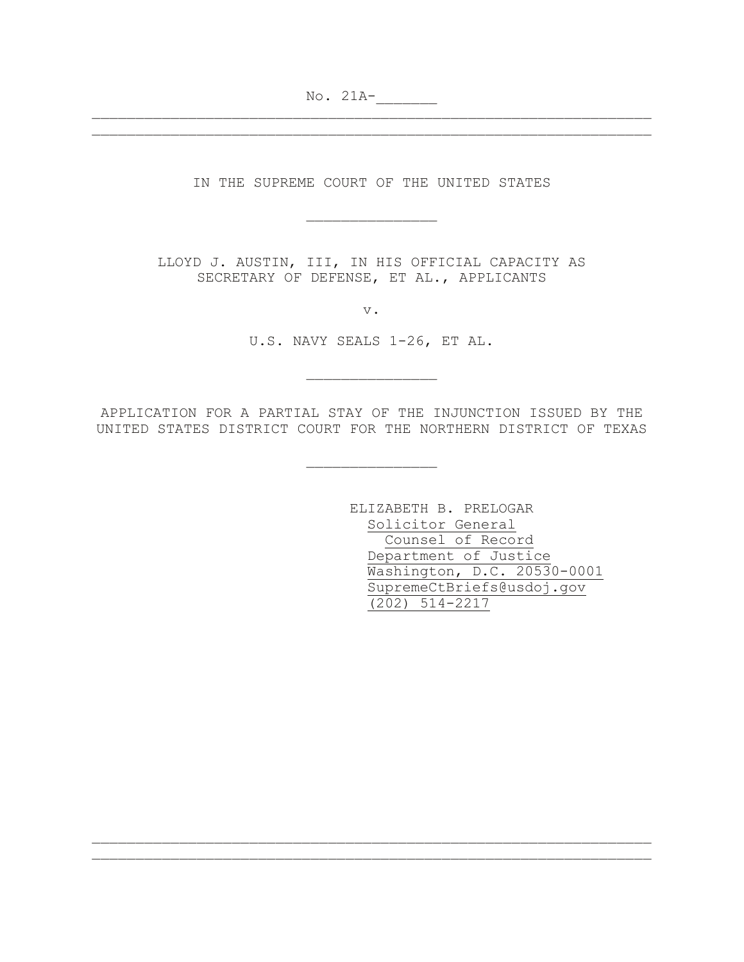No. 21A-

IN THE SUPREME COURT OF THE UNITED STATES

\_\_\_\_\_\_\_\_\_\_\_\_\_\_\_

\_\_\_\_\_\_\_\_\_\_\_\_\_\_\_\_\_\_\_\_\_\_\_\_\_\_\_\_\_\_\_\_\_\_\_\_\_\_\_\_\_\_\_\_\_\_\_\_\_\_\_\_\_\_\_\_\_\_\_\_\_\_\_\_ \_\_\_\_\_\_\_\_\_\_\_\_\_\_\_\_\_\_\_\_\_\_\_\_\_\_\_\_\_\_\_\_\_\_\_\_\_\_\_\_\_\_\_\_\_\_\_\_\_\_\_\_\_\_\_\_\_\_\_\_\_\_\_\_

> LLOYD J. AUSTIN, III, IN HIS OFFICIAL CAPACITY AS SECRETARY OF DEFENSE, ET AL., APPLICANTS

> > v.

U.S. NAVY SEALS 1-26, ET AL.

\_\_\_\_\_\_\_\_\_\_\_\_\_\_\_

APPLICATION FOR A PARTIAL STAY OF THE INJUNCTION ISSUED BY THE UNITED STATES DISTRICT COURT FOR THE NORTHERN DISTRICT OF TEXAS

\_\_\_\_\_\_\_\_\_\_\_\_\_\_\_

\_\_\_\_\_\_\_\_\_\_\_\_\_\_\_\_\_\_\_\_\_\_\_\_\_\_\_\_\_\_\_\_\_\_\_\_\_\_\_\_\_\_\_\_\_\_\_\_\_\_\_\_\_\_\_\_\_\_\_\_\_\_\_\_ \_\_\_\_\_\_\_\_\_\_\_\_\_\_\_\_\_\_\_\_\_\_\_\_\_\_\_\_\_\_\_\_\_\_\_\_\_\_\_\_\_\_\_\_\_\_\_\_\_\_\_\_\_\_\_\_\_\_\_\_\_\_\_\_

ELIZABETH B. PRELOGAR Solicitor General Counsel of Record Department of Justice Washington, D.C. 20530-0001 SupremeCtBriefs@usdoj.gov (202) 514-2217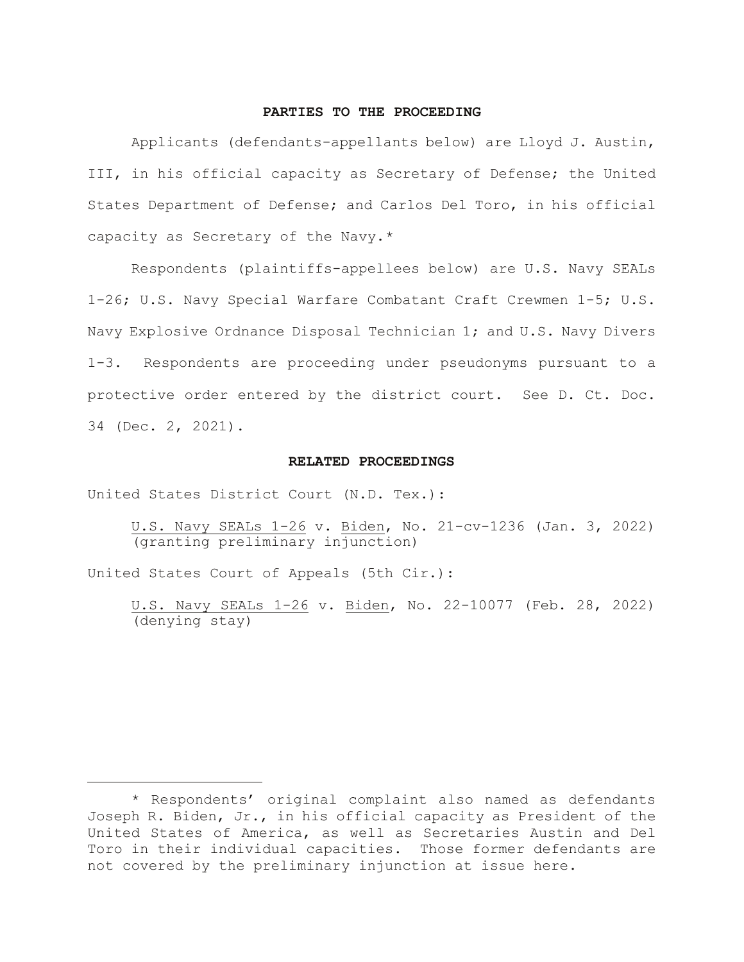#### **PARTIES TO THE PROCEEDING**

Applicants (defendants-appellants below) are Lloyd J. Austin, III, in his official capacity as Secretary of Defense; the United States Department of Defense; and Carlos Del Toro, in his official capacity as Secretary of the Navy.[\\*](#page-1-0)

Respondents (plaintiffs-appellees below) are U.S. Navy SEALs 1-26; U.S. Navy Special Warfare Combatant Craft Crewmen 1-5; U.S. Navy Explosive Ordnance Disposal Technician 1; and U.S. Navy Divers 1-3. Respondents are proceeding under pseudonyms pursuant to a protective order entered by the district court. See D. Ct. Doc. 34 (Dec. 2, 2021).

#### **RELATED PROCEEDINGS**

United States District Court (N.D. Tex.):

United States Court of Appeals (5th Cir.):

U.S. Navy SEALs 1-26 v. Biden, No. 22-10077 (Feb. 28, 2022) (denying stay)

U.S. Navy SEALs 1-26 v. Biden, No. 21-cv-1236 (Jan. 3, 2022) (granting preliminary injunction)

<span id="page-1-0"></span><sup>\*</sup> Respondents' original complaint also named as defendants Joseph R. Biden, Jr., in his official capacity as President of the United States of America, as well as Secretaries Austin and Del Toro in their individual capacities. Those former defendants are not covered by the preliminary injunction at issue here.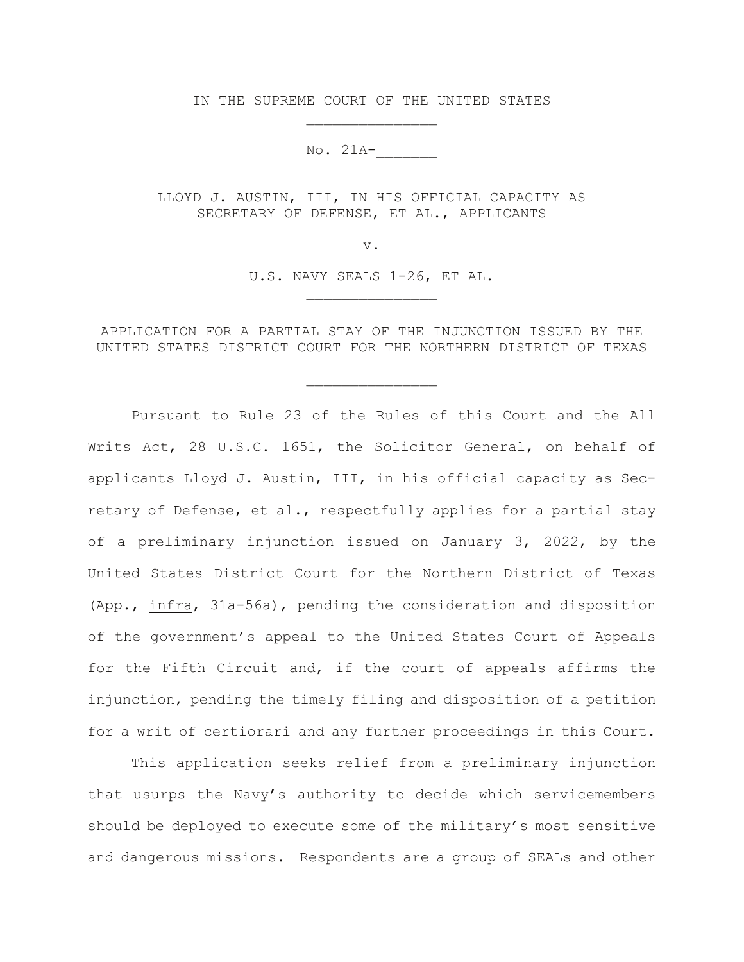IN THE SUPREME COURT OF THE UNITED STATES \_\_\_\_\_\_\_\_\_\_\_\_\_\_\_

No. 21A-\_\_\_\_\_\_\_

LLOYD J. AUSTIN, III, IN HIS OFFICIAL CAPACITY AS SECRETARY OF DEFENSE, ET AL., APPLICANTS

v.

U.S. NAVY SEALS 1-26, ET AL. \_\_\_\_\_\_\_\_\_\_\_\_\_\_\_

APPLICATION FOR A PARTIAL STAY OF THE INJUNCTION ISSUED BY THE UNITED STATES DISTRICT COURT FOR THE NORTHERN DISTRICT OF TEXAS

\_\_\_\_\_\_\_\_\_\_\_\_\_\_\_

Pursuant to Rule 23 of the Rules of this Court and the All Writs Act, 28 U.S.C. 1651, the Solicitor General, on behalf of applicants Lloyd J. Austin, III, in his official capacity as Secretary of Defense, et al., respectfully applies for a partial stay of a preliminary injunction issued on January 3, 2022, by the United States District Court for the Northern District of Texas (App., infra, 31a-56a), pending the consideration and disposition of the government's appeal to the United States Court of Appeals for the Fifth Circuit and, if the court of appeals affirms the injunction, pending the timely filing and disposition of a petition for a writ of certiorari and any further proceedings in this Court.

This application seeks relief from a preliminary injunction that usurps the Navy's authority to decide which servicemembers should be deployed to execute some of the military's most sensitive and dangerous missions. Respondents are a group of SEALs and other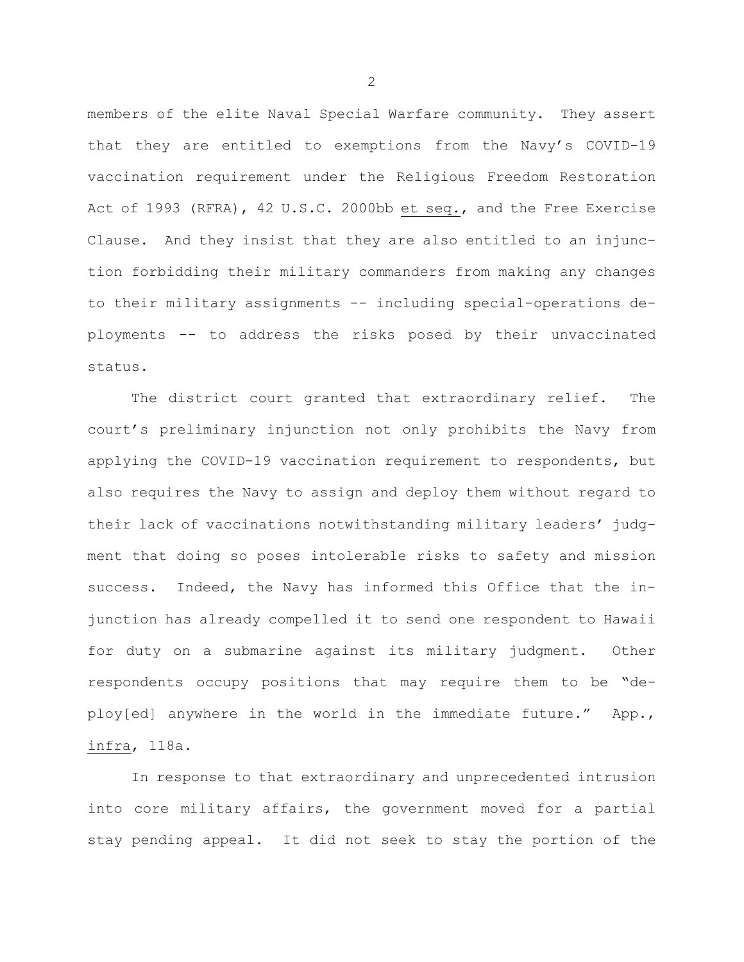members of the elite Naval Special Warfare community. They assert that they are entitled to exemptions from the Navy's COVID-19 vaccination requirement under the Religious Freedom Restoration Act of 1993 (RFRA), 42 U.S.C. 2000bb et seq., and the Free Exercise Clause. And they insist that they are also entitled to an injunction forbidding their military commanders from making any changes to their military assignments -- including special-operations deployments -- to address the risks posed by their unvaccinated status.

The district court granted that extraordinary relief. The court's preliminary injunction not only prohibits the Navy from applying the COVID-19 vaccination requirement to respondents, but also requires the Navy to assign and deploy them without regard to their lack of vaccinations notwithstanding military leaders' judgment that doing so poses intolerable risks to safety and mission success. Indeed, the Navy has informed this Office that the injunction has already compelled it to send one respondent to Hawaii for duty on a submarine against its military judgment. Other respondents occupy positions that may require them to be "deploy[ed] anywhere in the world in the immediate future." App., infra, 118a.

In response to that extraordinary and unprecedented intrusion into core military affairs, the government moved for a partial stay pending appeal. It did not seek to stay the portion of the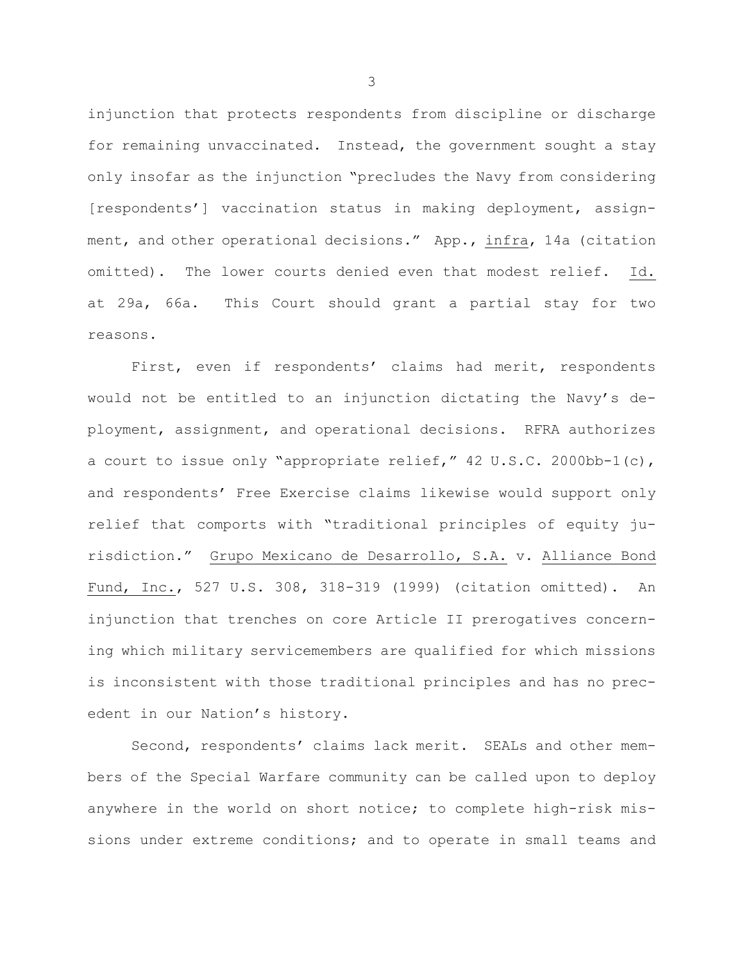injunction that protects respondents from discipline or discharge for remaining unvaccinated. Instead, the government sought a stay only insofar as the injunction "precludes the Navy from considering [respondents'] vaccination status in making deployment, assignment, and other operational decisions." App., infra, 14a (citation omitted). The lower courts denied even that modest relief. Id. at 29a, 66a. This Court should grant a partial stay for two reasons.

First, even if respondents' claims had merit, respondents would not be entitled to an injunction dictating the Navy's deployment, assignment, and operational decisions. RFRA authorizes a court to issue only "appropriate relief," 42 U.S.C. 2000bb-1(c), and respondents' Free Exercise claims likewise would support only relief that comports with "traditional principles of equity jurisdiction." Grupo Mexicano de Desarrollo, S.A. v. Alliance Bond Fund, Inc., 527 U.S. 308, 318-319 (1999) (citation omitted). An injunction that trenches on core Article II prerogatives concerning which military servicemembers are qualified for which missions is inconsistent with those traditional principles and has no precedent in our Nation's history.

Second, respondents' claims lack merit. SEALs and other members of the Special Warfare community can be called upon to deploy anywhere in the world on short notice; to complete high-risk missions under extreme conditions; and to operate in small teams and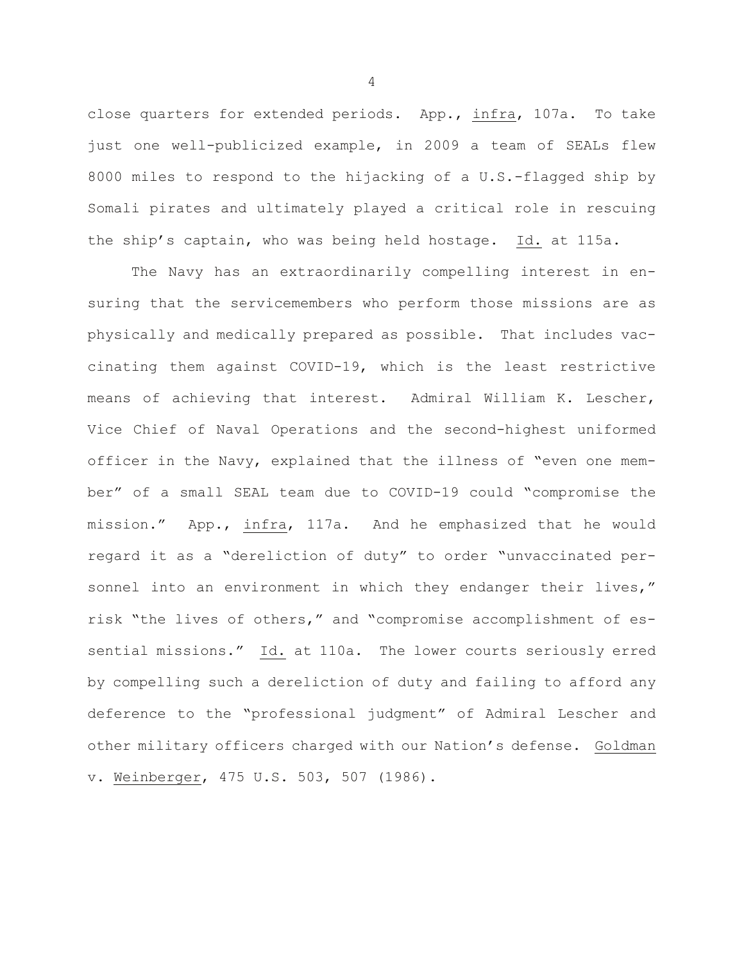close quarters for extended periods. App., infra, 107a. To take just one well-publicized example, in 2009 a team of SEALs flew 8000 miles to respond to the hijacking of a U.S.-flagged ship by Somali pirates and ultimately played a critical role in rescuing the ship's captain, who was being held hostage. Id. at 115a.

The Navy has an extraordinarily compelling interest in ensuring that the servicemembers who perform those missions are as physically and medically prepared as possible. That includes vaccinating them against COVID-19, which is the least restrictive means of achieving that interest. Admiral William K. Lescher, Vice Chief of Naval Operations and the second-highest uniformed officer in the Navy, explained that the illness of "even one member" of a small SEAL team due to COVID-19 could "compromise the mission." App., infra, 117a. And he emphasized that he would regard it as a "dereliction of duty" to order "unvaccinated personnel into an environment in which they endanger their lives," risk "the lives of others," and "compromise accomplishment of essential missions." Id. at 110a. The lower courts seriously erred by compelling such a dereliction of duty and failing to afford any deference to the "professional judgment" of Admiral Lescher and other military officers charged with our Nation's defense. Goldman v. Weinberger, 475 U.S. 503, 507 (1986).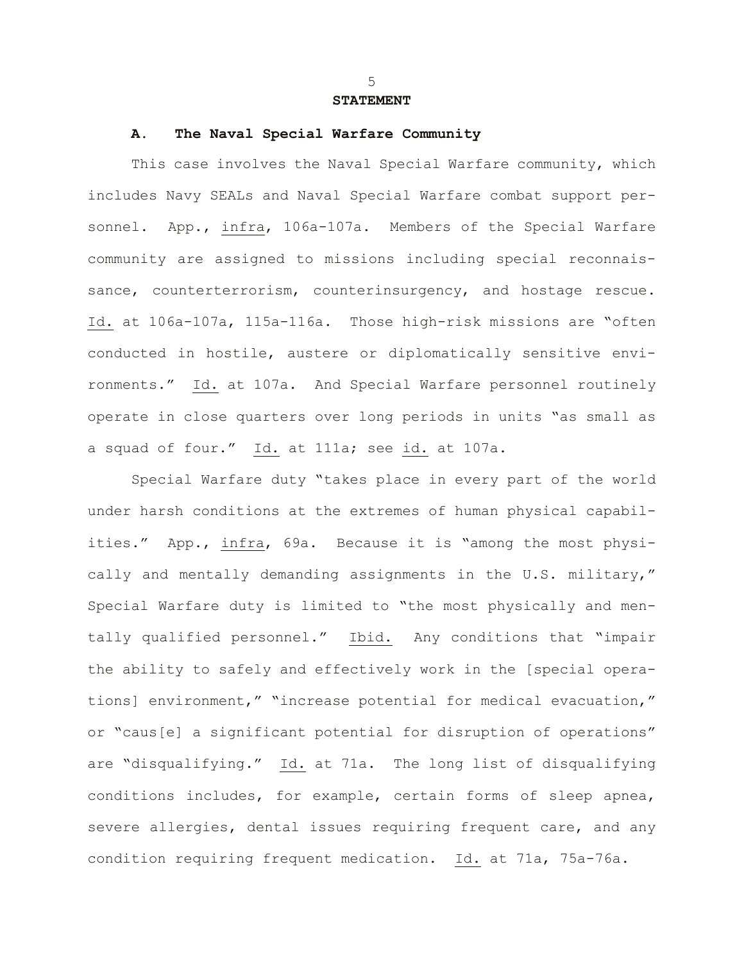### **STATEMENT**

### **A. The Naval Special Warfare Community**

This case involves the Naval Special Warfare community, which includes Navy SEALs and Naval Special Warfare combat support personnel. App., infra, 106a-107a. Members of the Special Warfare community are assigned to missions including special reconnaissance, counterterrorism, counterinsurgency, and hostage rescue. Id. at 106a-107a, 115a-116a. Those high-risk missions are "often conducted in hostile, austere or diplomatically sensitive environments." Id. at 107a. And Special Warfare personnel routinely operate in close quarters over long periods in units "as small as a squad of four." Id. at 111a; see id. at 107a.

Special Warfare duty "takes place in every part of the world under harsh conditions at the extremes of human physical capabilities." App., infra, 69a. Because it is "among the most physically and mentally demanding assignments in the U.S. military," Special Warfare duty is limited to "the most physically and mentally qualified personnel." Ibid. Any conditions that "impair the ability to safely and effectively work in the [special operations] environment," "increase potential for medical evacuation," or "caus[e] a significant potential for disruption of operations" are "disqualifying." Id. at 71a. The long list of disqualifying conditions includes, for example, certain forms of sleep apnea, severe allergies, dental issues requiring frequent care, and any condition requiring frequent medication. Id. at 71a, 75a-76a.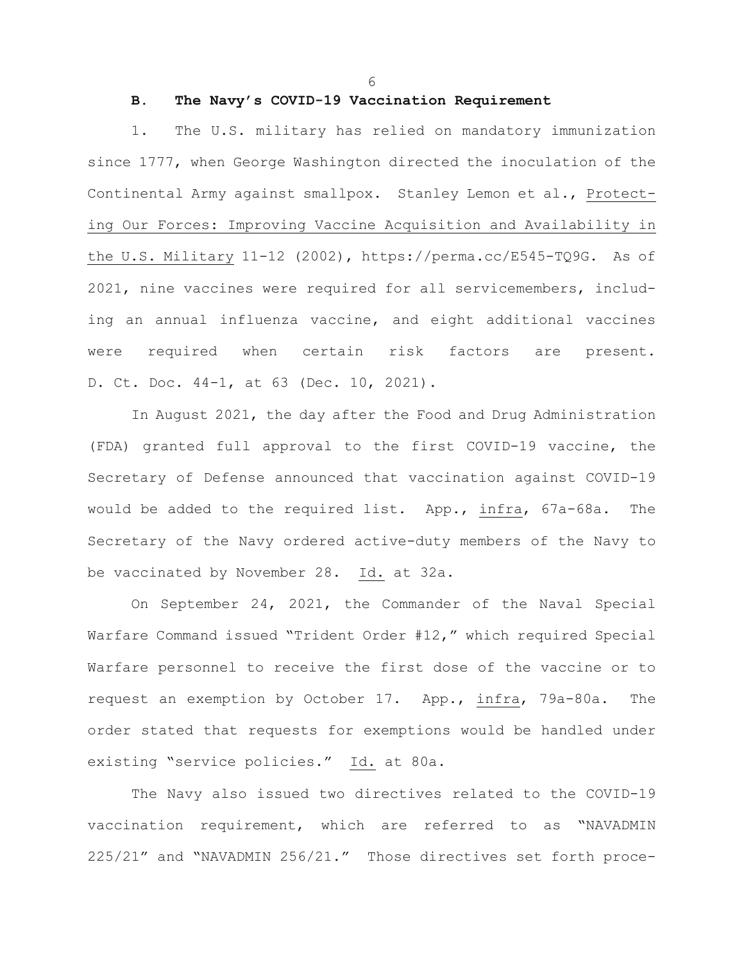6

# **B. The Navy's COVID-19 Vaccination Requirement**

1. The U.S. military has relied on mandatory immunization since 1777, when George Washington directed the inoculation of the Continental Army against smallpox. Stanley Lemon et al., Protecting Our Forces: Improving Vaccine Acquisition and Availability in the U.S. Military 11-12 (2002), https://perma.cc/E545-TQ9G. As of 2021, nine vaccines were required for all servicemembers, including an annual influenza vaccine, and eight additional vaccines were required when certain risk factors are present. D. Ct. Doc. 44-1, at 63 (Dec. 10, 2021).

In August 2021, the day after the Food and Drug Administration (FDA) granted full approval to the first COVID-19 vaccine, the Secretary of Defense announced that vaccination against COVID-19 would be added to the required list. App., infra, 67a-68a. The Secretary of the Navy ordered active-duty members of the Navy to be vaccinated by November 28. Id. at 32a.

On September 24, 2021, the Commander of the Naval Special Warfare Command issued "Trident Order #12," which required Special Warfare personnel to receive the first dose of the vaccine or to request an exemption by October 17. App., infra, 79a-80a. The order stated that requests for exemptions would be handled under existing "service policies." Id. at 80a.

The Navy also issued two directives related to the COVID-19 vaccination requirement, which are referred to as "NAVADMIN 225/21" and "NAVADMIN 256/21." Those directives set forth proce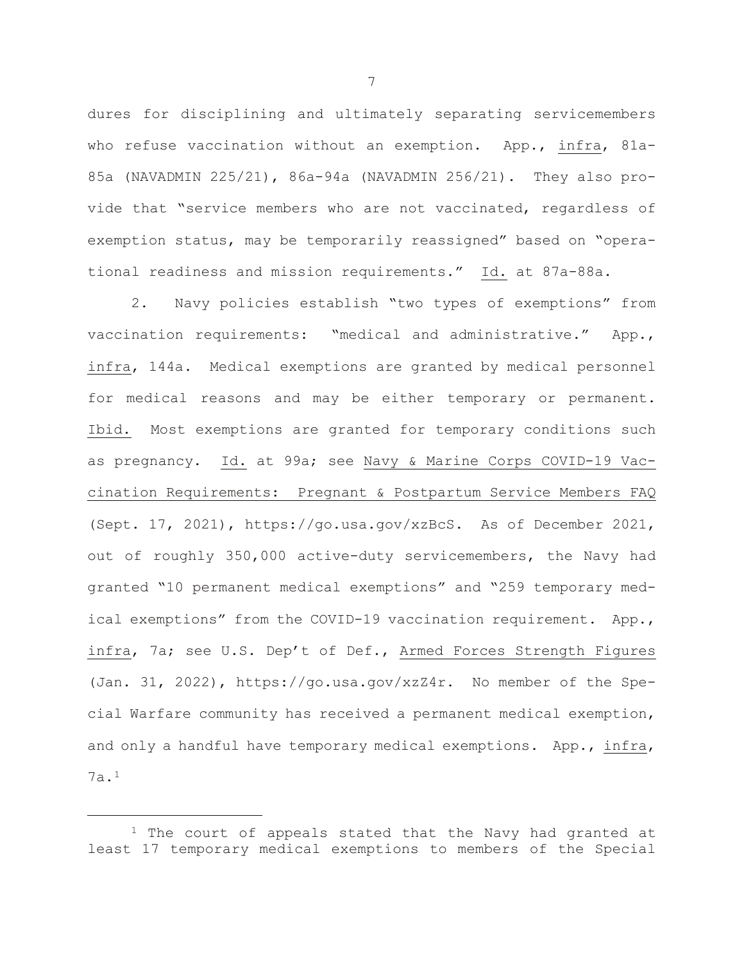dures for disciplining and ultimately separating servicemembers who refuse vaccination without an exemption. App., infra, 81a-85a (NAVADMIN 225/21), 86a-94a (NAVADMIN 256/21). They also provide that "service members who are not vaccinated, regardless of exemption status, may be temporarily reassigned" based on "operational readiness and mission requirements." Id. at 87a-88a.

2. Navy policies establish "two types of exemptions" from vaccination requirements: "medical and administrative." App., infra, 144a. Medical exemptions are granted by medical personnel for medical reasons and may be either temporary or permanent. Ibid. Most exemptions are granted for temporary conditions such as pregnancy. Id. at 99a; see Navy & Marine Corps COVID-19 Vaccination Requirements: Pregnant & Postpartum Service Members FAQ (Sept. 17, 2021), https://go.usa.gov/xzBcS. As of December 2021, out of roughly 350,000 active-duty servicemembers, the Navy had granted "10 permanent medical exemptions" and "259 temporary medical exemptions" from the COVID-19 vaccination requirement. App., infra, 7a; see U.S. Dep't of Def., Armed Forces Strength Figures (Jan. 31, 2022), https://go.usa.gov/xzZ4r. No member of the Special Warfare community has received a permanent medical exemption, and only a handful have temporary medical exemptions. App., infra, 7a.[1](#page-8-0)

<span id="page-8-0"></span> $1$  The court of appeals stated that the Navy had granted at least 17 temporary medical exemptions to members of the Special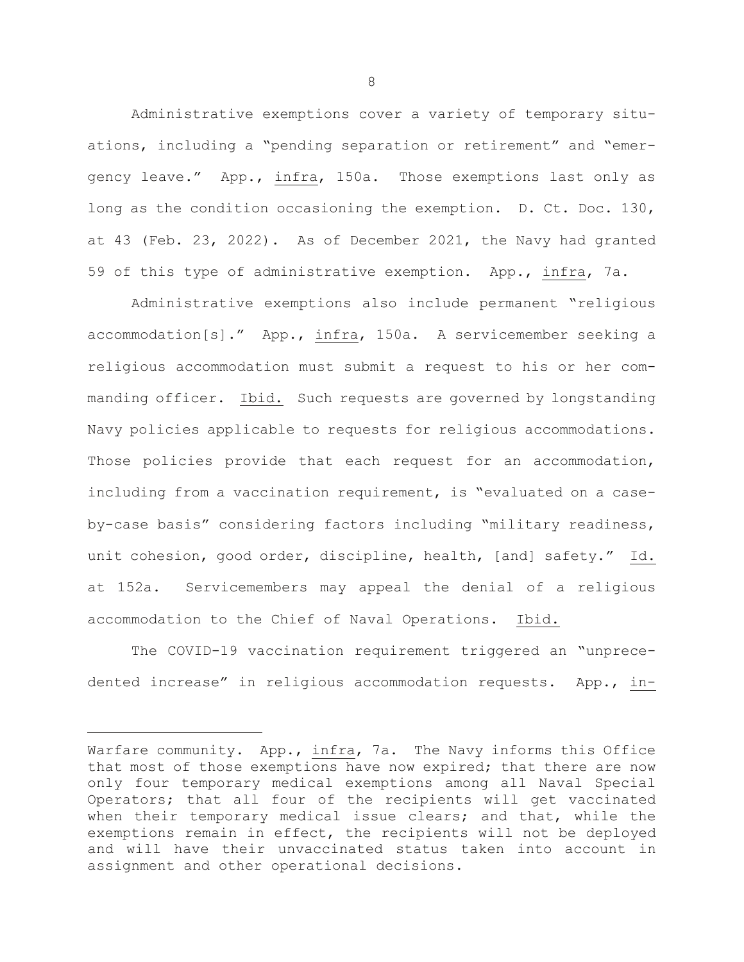Administrative exemptions cover a variety of temporary situations, including a "pending separation or retirement" and "emergency leave." App., infra, 150a. Those exemptions last only as long as the condition occasioning the exemption. D. Ct. Doc. 130, at 43 (Feb. 23, 2022). As of December 2021, the Navy had granted 59 of this type of administrative exemption. App., infra, 7a.

Administrative exemptions also include permanent "religious accommodation[s]." App., infra, 150a. A servicemember seeking a religious accommodation must submit a request to his or her commanding officer. Ibid. Such requests are governed by longstanding Navy policies applicable to requests for religious accommodations. Those policies provide that each request for an accommodation, including from a vaccination requirement, is "evaluated on a caseby-case basis" considering factors including "military readiness, unit cohesion, good order, discipline, health, [and] safety." Id. at 152a. Servicemembers may appeal the denial of a religious accommodation to the Chief of Naval Operations. Ibid.

The COVID-19 vaccination requirement triggered an "unprecedented increase" in religious accommodation requests. App., in-

Warfare community. App., infra, 7a. The Navy informs this Office that most of those exemptions have now expired; that there are now only four temporary medical exemptions among all Naval Special Operators; that all four of the recipients will get vaccinated when their temporary medical issue clears; and that, while the exemptions remain in effect, the recipients will not be deployed and will have their unvaccinated status taken into account in assignment and other operational decisions.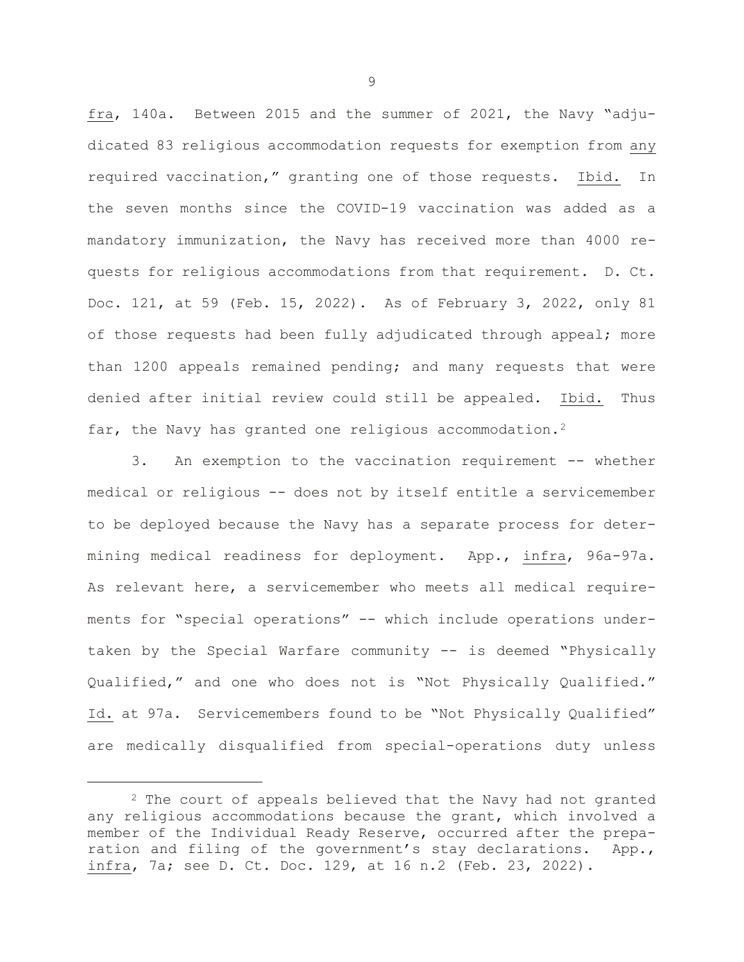fra, 140a. Between 2015 and the summer of 2021, the Navy "adjudicated 83 religious accommodation requests for exemption from any required vaccination," granting one of those requests. Ibid. In the seven months since the COVID-19 vaccination was added as a mandatory immunization, the Navy has received more than 4000 requests for religious accommodations from that requirement. D. Ct. Doc. 121, at 59 (Feb. 15, 2022). As of February 3, 2022, only 81 of those requests had been fully adjudicated through appeal; more than 1200 appeals remained pending; and many requests that were denied after initial review could still be appealed. Ibid. Thus far, the Navy has granted one religious accommodation.<sup>[2](#page-10-0)</sup>

3. An exemption to the vaccination requirement -- whether medical or religious -- does not by itself entitle a servicemember to be deployed because the Navy has a separate process for determining medical readiness for deployment. App., infra, 96a-97a. As relevant here, a servicemember who meets all medical requirements for "special operations" -- which include operations undertaken by the Special Warfare community -- is deemed "Physically Qualified," and one who does not is "Not Physically Qualified." Id. at 97a. Servicemembers found to be "Not Physically Qualified" are medically disqualified from special-operations duty unless

<span id="page-10-0"></span><sup>&</sup>lt;sup>2</sup> The court of appeals believed that the Navy had not granted any religious accommodations because the grant, which involved a member of the Individual Ready Reserve, occurred after the preparation and filing of the government's stay declarations. App., infra, 7a; see D. Ct. Doc. 129, at 16 n.2 (Feb. 23, 2022).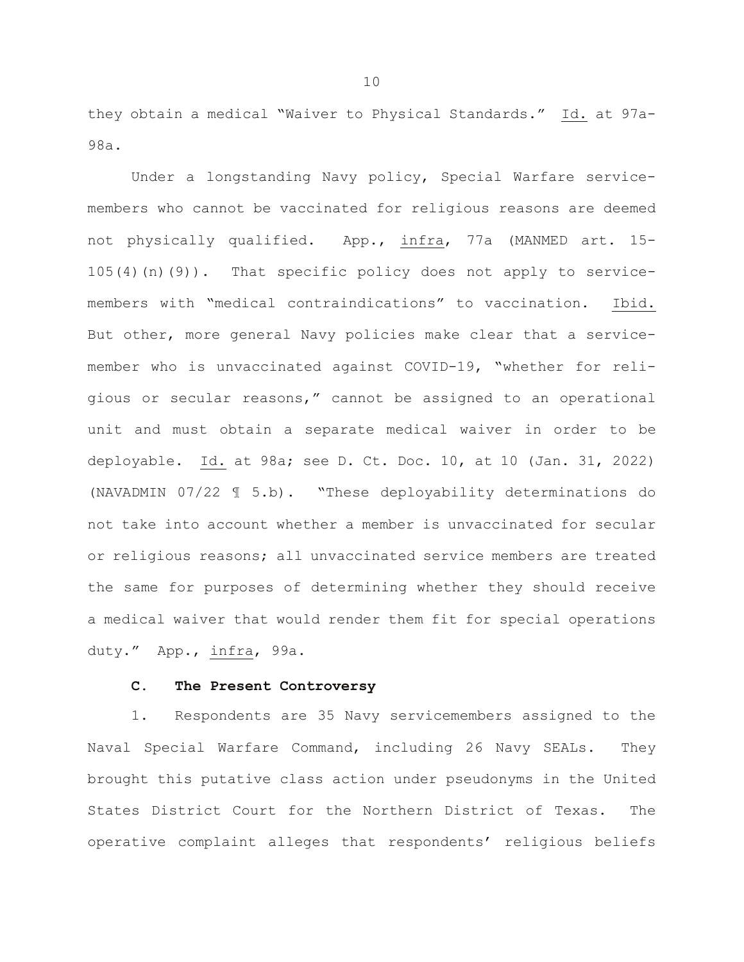they obtain a medical "Waiver to Physical Standards." Id. at 97a-98a.

Under a longstanding Navy policy, Special Warfare servicemembers who cannot be vaccinated for religious reasons are deemed not physically qualified. App., infra, 77a (MANMED art. 15- 105(4)(n)(9)). That specific policy does not apply to servicemembers with "medical contraindications" to vaccination. Ibid. But other, more general Navy policies make clear that a servicemember who is unvaccinated against COVID-19, "whether for religious or secular reasons," cannot be assigned to an operational unit and must obtain a separate medical waiver in order to be deployable. Id. at 98a; see D. Ct. Doc. 10, at 10 (Jan. 31, 2022) (NAVADMIN 07/22 ¶ 5.b). "These deployability determinations do not take into account whether a member is unvaccinated for secular or religious reasons; all unvaccinated service members are treated the same for purposes of determining whether they should receive a medical waiver that would render them fit for special operations duty." App., infra, 99a.

### **C. The Present Controversy**

1. Respondents are 35 Navy servicemembers assigned to the Naval Special Warfare Command, including 26 Navy SEALs. They brought this putative class action under pseudonyms in the United States District Court for the Northern District of Texas. The operative complaint alleges that respondents' religious beliefs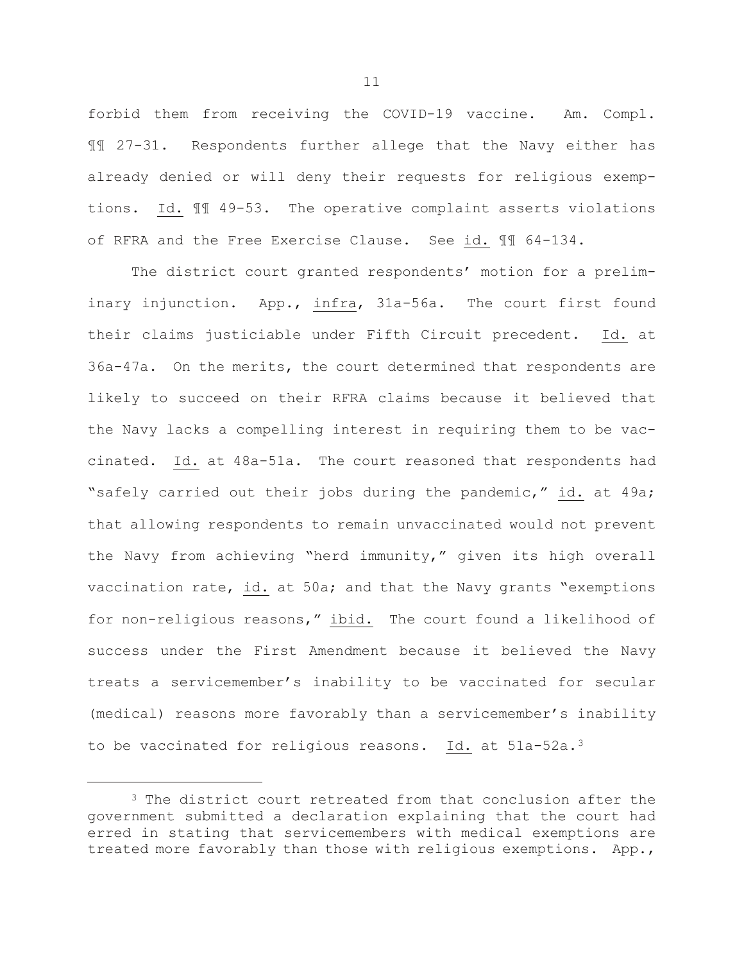forbid them from receiving the COVID-19 vaccine. Am. Compl. ¶¶ 27-31. Respondents further allege that the Navy either has already denied or will deny their requests for religious exemptions. Id. ¶¶ 49-53. The operative complaint asserts violations of RFRA and the Free Exercise Clause. See id. ¶¶ 64-134.

The district court granted respondents' motion for a preliminary injunction. App., infra, 31a-56a. The court first found their claims justiciable under Fifth Circuit precedent. Id. at 36a-47a. On the merits, the court determined that respondents are likely to succeed on their RFRA claims because it believed that the Navy lacks a compelling interest in requiring them to be vaccinated. Id. at 48a-51a. The court reasoned that respondents had "safely carried out their jobs during the pandemic," id. at 49a; that allowing respondents to remain unvaccinated would not prevent the Navy from achieving "herd immunity," given its high overall vaccination rate, id. at 50a; and that the Navy grants "exemptions for non-religious reasons," ibid. The court found a likelihood of success under the First Amendment because it believed the Navy treats a servicemember's inability to be vaccinated for secular (medical) reasons more favorably than a servicemember's inability to be vaccinated for religious reasons. Id. at 51a-52a.<sup>[3](#page-12-0)</sup>

<span id="page-12-0"></span><sup>&</sup>lt;sup>3</sup> The district court retreated from that conclusion after the government submitted a declaration explaining that the court had erred in stating that servicemembers with medical exemptions are treated more favorably than those with religious exemptions. App.,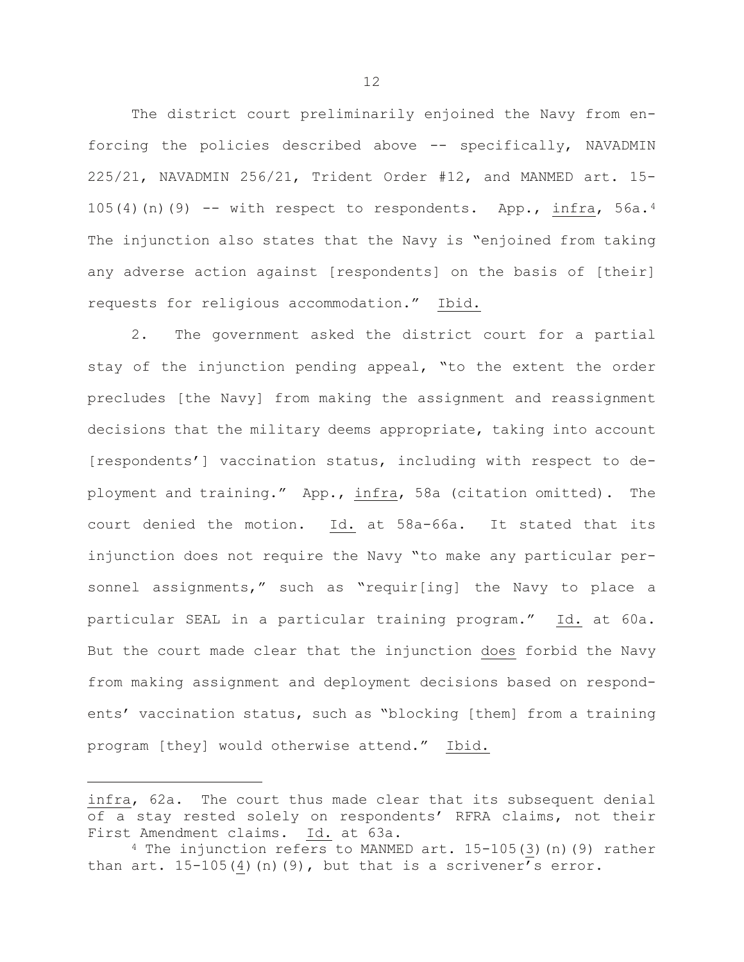The district court preliminarily enjoined the Navy from enforcing the policies described above -- specifically, NAVADMIN 225/21, NAVADMIN 256/21, Trident Order #12, and MANMED art. 15- 105([4](#page-13-0))(n)(9) -- with respect to respondents. App., infra,  $56a.4$ The injunction also states that the Navy is "enjoined from taking any adverse action against [respondents] on the basis of [their] requests for religious accommodation." Ibid.

2. The government asked the district court for a partial stay of the injunction pending appeal, "to the extent the order precludes [the Navy] from making the assignment and reassignment decisions that the military deems appropriate, taking into account [respondents'] vaccination status, including with respect to deployment and training." App., infra, 58a (citation omitted). The court denied the motion. Id. at 58a-66a. It stated that its injunction does not require the Navy "to make any particular personnel assignments," such as "requir[ing] the Navy to place a particular SEAL in a particular training program." Id. at 60a. But the court made clear that the injunction does forbid the Navy from making assignment and deployment decisions based on respondents' vaccination status, such as "blocking [them] from a training program [they] would otherwise attend." Ibid.

infra, 62a. The court thus made clear that its subsequent denial of a stay rested solely on respondents' RFRA claims, not their First Amendment claims. Id. at 63a.

<span id="page-13-0"></span><sup>4</sup> The injunction refers to MANMED art. 15-105(3)(n)(9) rather than  $art. 15-105(4)(n)(9)$ , but that is a scrivener's error.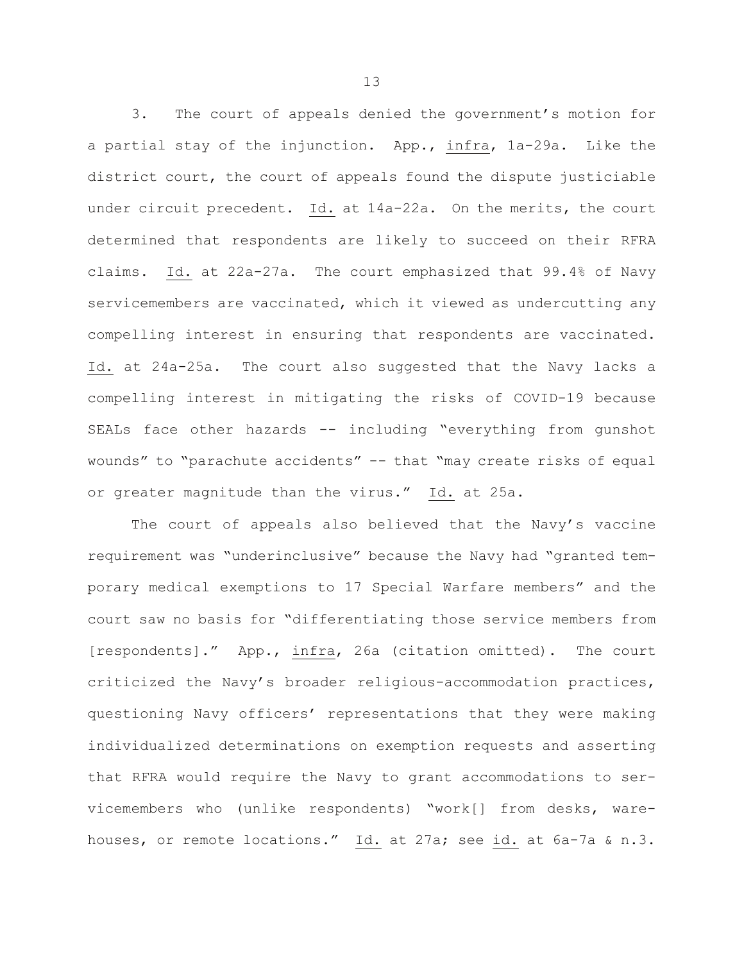3. The court of appeals denied the government's motion for a partial stay of the injunction. App., infra, 1a-29a. Like the district court, the court of appeals found the dispute justiciable under circuit precedent. Id. at 14a-22a. On the merits, the court determined that respondents are likely to succeed on their RFRA claims. Id. at 22a-27a. The court emphasized that 99.4% of Navy servicemembers are vaccinated, which it viewed as undercutting any compelling interest in ensuring that respondents are vaccinated. Id. at 24a-25a. The court also suggested that the Navy lacks a compelling interest in mitigating the risks of COVID-19 because SEALs face other hazards -- including "everything from qunshot wounds" to "parachute accidents" -- that "may create risks of equal or greater magnitude than the virus." Id. at 25a.

The court of appeals also believed that the Navy's vaccine requirement was "underinclusive" because the Navy had "granted temporary medical exemptions to 17 Special Warfare members" and the court saw no basis for "differentiating those service members from [respondents]." App., infra, 26a (citation omitted). The court criticized the Navy's broader religious-accommodation practices, questioning Navy officers' representations that they were making individualized determinations on exemption requests and asserting that RFRA would require the Navy to grant accommodations to servicemembers who (unlike respondents) "work[] from desks, warehouses, or remote locations." Id. at 27a; see id. at 6a-7a & n.3.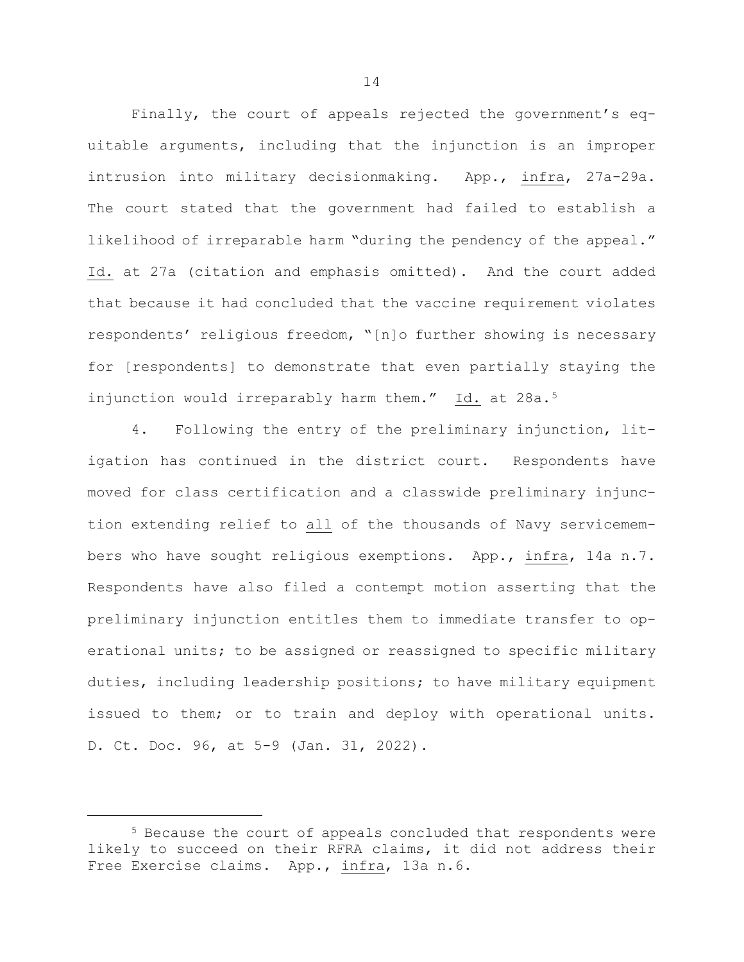Finally, the court of appeals rejected the government's equitable arguments, including that the injunction is an improper intrusion into military decisionmaking. App., infra, 27a-29a. The court stated that the government had failed to establish a likelihood of irreparable harm "during the pendency of the appeal." Id. at 27a (citation and emphasis omitted). And the court added that because it had concluded that the vaccine requirement violates respondents' religious freedom, "[n]o further showing is necessary for [respondents] to demonstrate that even partially staying the injunction would irreparably harm them." Id. at 28a.<sup>[5](#page-15-0)</sup>

4. Following the entry of the preliminary injunction, litigation has continued in the district court. Respondents have moved for class certification and a classwide preliminary injunction extending relief to all of the thousands of Navy servicemembers who have sought religious exemptions. App., infra, 14a n.7. Respondents have also filed a contempt motion asserting that the preliminary injunction entitles them to immediate transfer to operational units; to be assigned or reassigned to specific military duties, including leadership positions; to have military equipment issued to them; or to train and deploy with operational units. D. Ct. Doc. 96, at 5-9 (Jan. 31, 2022).

<span id="page-15-0"></span><sup>5</sup> Because the court of appeals concluded that respondents were likely to succeed on their RFRA claims, it did not address their Free Exercise claims. App., infra, 13a n.6.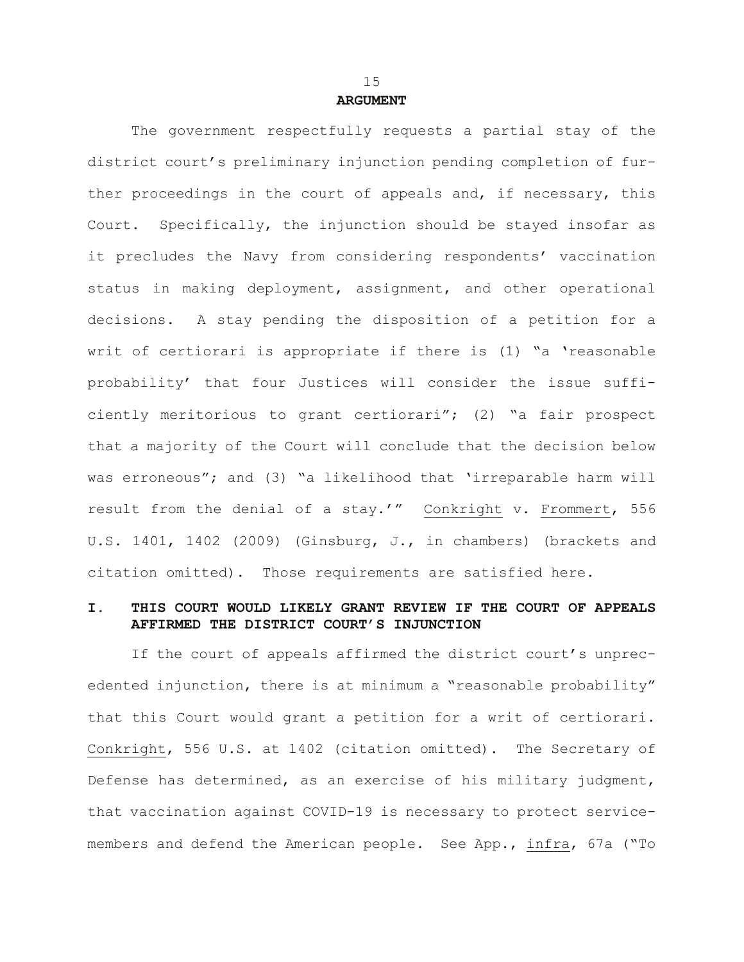### **ARGUMENT**

The government respectfully requests a partial stay of the district court's preliminary injunction pending completion of further proceedings in the court of appeals and, if necessary, this Court. Specifically, the injunction should be stayed insofar as it precludes the Navy from considering respondents' vaccination status in making deployment, assignment, and other operational decisions. A stay pending the disposition of a petition for a writ of certiorari is appropriate if there is (1) "a 'reasonable probability' that four Justices will consider the issue sufficiently meritorious to grant certiorari"; (2) "a fair prospect that a majority of the Court will conclude that the decision below was erroneous"; and (3) "a likelihood that 'irreparable harm will result from the denial of a stay.'" Conkright v. Frommert, 556 U.S. 1401, 1402 (2009) (Ginsburg, J., in chambers) (brackets and citation omitted). Those requirements are satisfied here.

# **I. THIS COURT WOULD LIKELY GRANT REVIEW IF THE COURT OF APPEALS AFFIRMED THE DISTRICT COURT'S INJUNCTION**

If the court of appeals affirmed the district court's unprecedented injunction, there is at minimum a "reasonable probability" that this Court would grant a petition for a writ of certiorari. Conkright, 556 U.S. at 1402 (citation omitted). The Secretary of Defense has determined, as an exercise of his military judgment, that vaccination against COVID-19 is necessary to protect servicemembers and defend the American people. See App., infra, 67a ("To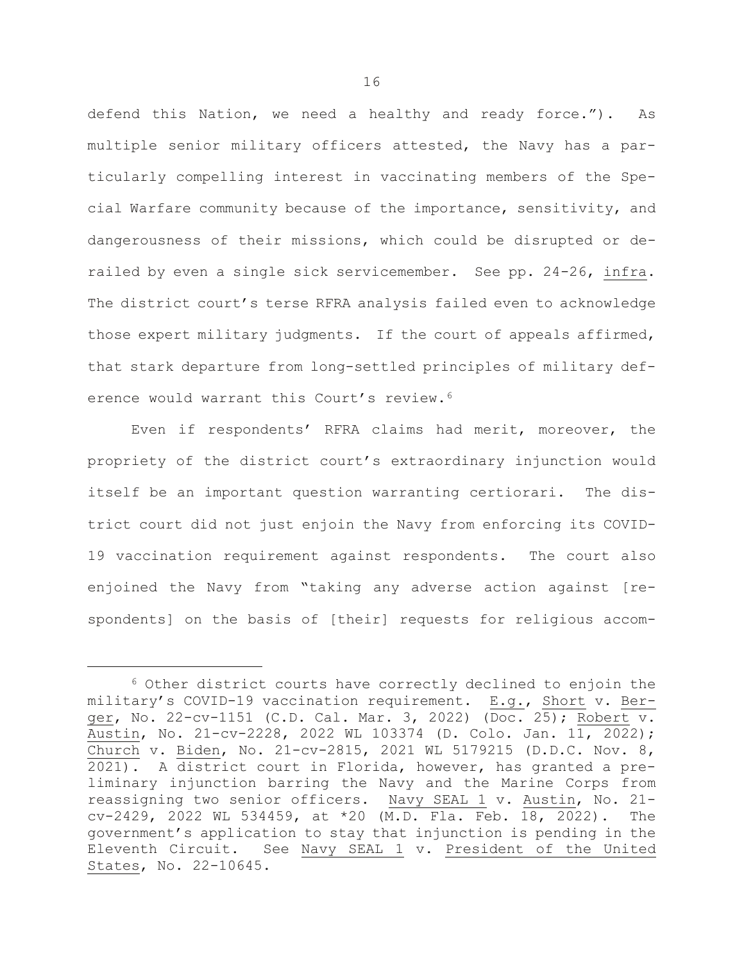defend this Nation, we need a healthy and ready force."). As multiple senior military officers attested, the Navy has a particularly compelling interest in vaccinating members of the Special Warfare community because of the importance, sensitivity, and dangerousness of their missions, which could be disrupted or derailed by even a single sick servicemember. See pp. 24-26, infra. The district court's terse RFRA analysis failed even to acknowledge those expert military judgments. If the court of appeals affirmed, that stark departure from long-settled principles of military def-erence would warrant this Court's review.<sup>[6](#page-17-0)</sup>

Even if respondents' RFRA claims had merit, moreover, the propriety of the district court's extraordinary injunction would itself be an important question warranting certiorari. The district court did not just enjoin the Navy from enforcing its COVID-19 vaccination requirement against respondents. The court also enjoined the Navy from "taking any adverse action against [respondents] on the basis of [their] requests for religious accom-

<span id="page-17-0"></span><sup>6</sup> Other district courts have correctly declined to enjoin the military's COVID-19 vaccination requirement. E.g., Short v. Berger, No. 22-cv-1151 (C.D. Cal. Mar. 3, 2022) (Doc. 25); Robert v. Austin, No. 21-cv-2228, 2022 WL 103374 (D. Colo. Jan. 11, 2022); Church v. Biden, No. 21-cv-2815, 2021 WL 5179215 (D.D.C. Nov. 8, 2021). A district court in Florida, however, has granted a preliminary injunction barring the Navy and the Marine Corps from reassigning two senior officers. Navy SEAL 1 v. Austin, No. 21 cv-2429, 2022 WL 534459, at \*20 (M.D. Fla. Feb. 18, 2022). The government's application to stay that injunction is pending in the Eleventh Circuit. See Navy SEAL 1 v. President of the United States, No. 22-10645.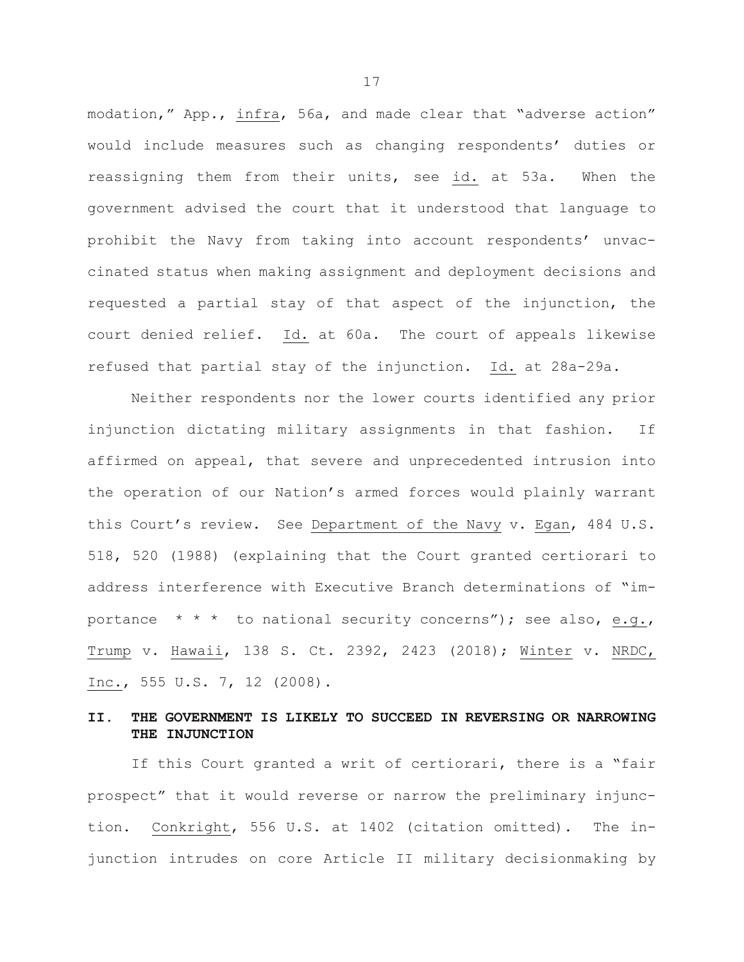modation," App., infra, 56a, and made clear that "adverse action" would include measures such as changing respondents' duties or reassigning them from their units, see id. at 53a. When the government advised the court that it understood that language to prohibit the Navy from taking into account respondents' unvaccinated status when making assignment and deployment decisions and requested a partial stay of that aspect of the injunction, the court denied relief. Id. at 60a. The court of appeals likewise refused that partial stay of the injunction. Id. at 28a-29a.

Neither respondents nor the lower courts identified any prior injunction dictating military assignments in that fashion. If affirmed on appeal, that severe and unprecedented intrusion into the operation of our Nation's armed forces would plainly warrant this Court's review. See Department of the Navy v. Egan, 484 U.S. 518, 520 (1988) (explaining that the Court granted certiorari to address interference with Executive Branch determinations of "importance  $* * *$  to national security concerns"); see also, e.g., Trump v. Hawaii, 138 S. Ct. 2392, 2423 (2018); Winter v. NRDC, Inc., 555 U.S. 7, 12 (2008).

# **II. THE GOVERNMENT IS LIKELY TO SUCCEED IN REVERSING OR NARROWING THE INJUNCTION**

If this Court granted a writ of certiorari, there is a "fair prospect" that it would reverse or narrow the preliminary injunction. Conkright, 556 U.S. at 1402 (citation omitted). The injunction intrudes on core Article II military decisionmaking by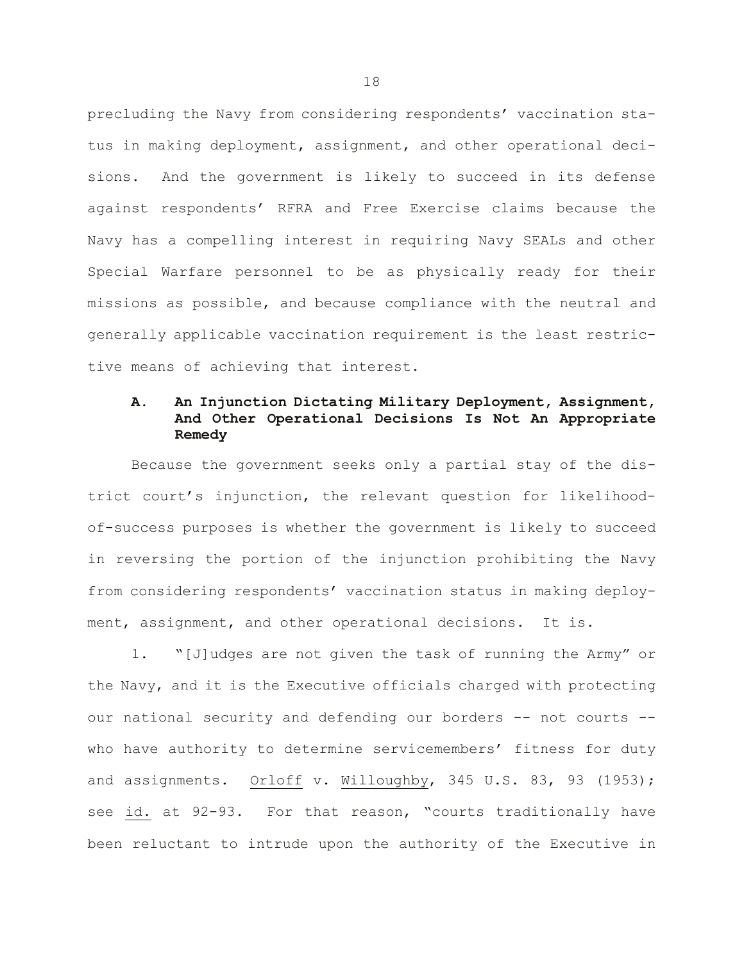precluding the Navy from considering respondents' vaccination status in making deployment, assignment, and other operational decisions. And the government is likely to succeed in its defense against respondents' RFRA and Free Exercise claims because the Navy has a compelling interest in requiring Navy SEALs and other Special Warfare personnel to be as physically ready for their missions as possible, and because compliance with the neutral and generally applicable vaccination requirement is the least restrictive means of achieving that interest.

# **A. An Injunction Dictating Military Deployment, Assignment, And Other Operational Decisions Is Not An Appropriate Remedy**

Because the government seeks only a partial stay of the district court's injunction, the relevant question for likelihoodof-success purposes is whether the government is likely to succeed in reversing the portion of the injunction prohibiting the Navy from considering respondents' vaccination status in making deployment, assignment, and other operational decisions. It is.

1. "[J]udges are not given the task of running the Army" or the Navy, and it is the Executive officials charged with protecting our national security and defending our borders -- not courts -who have authority to determine servicemembers' fitness for duty and assignments. Orloff v. Willoughby, 345 U.S. 83, 93 (1953); see id. at 92-93. For that reason, "courts traditionally have been reluctant to intrude upon the authority of the Executive in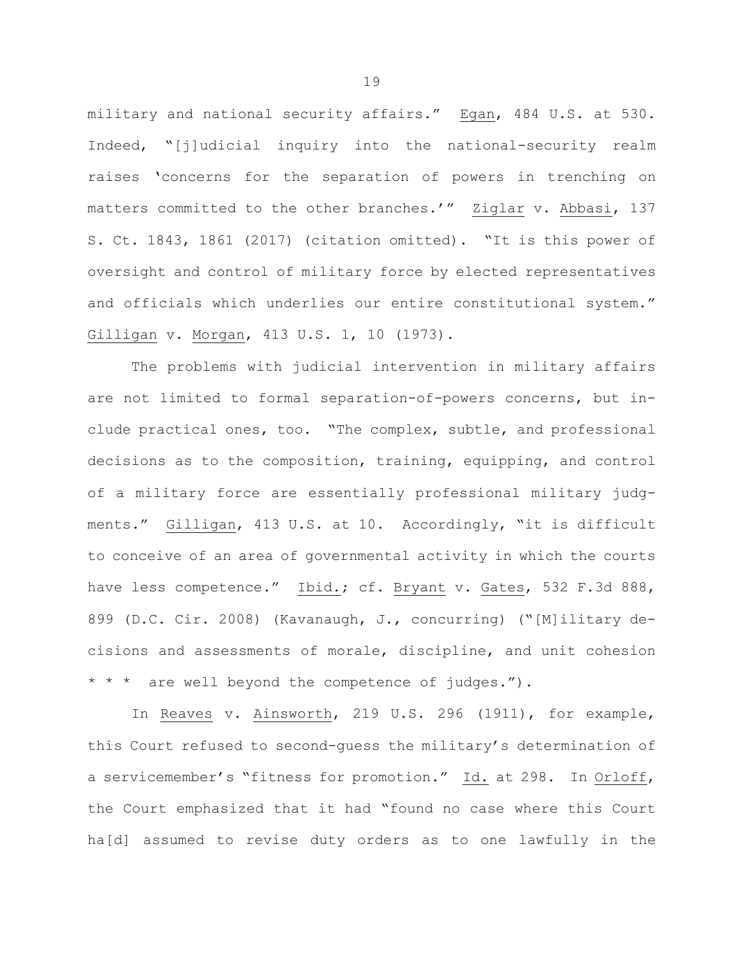military and national security affairs." Egan, 484 U.S. at 530. Indeed, "[j]udicial inquiry into the national-security realm raises 'concerns for the separation of powers in trenching on matters committed to the other branches.'" Ziglar v. Abbasi, 137 S. Ct. 1843, 1861 (2017) (citation omitted). "It is this power of oversight and control of military force by elected representatives and officials which underlies our entire constitutional system." Gilligan v. Morgan, 413 U.S. 1, 10 (1973).

The problems with judicial intervention in military affairs are not limited to formal separation-of-powers concerns, but include practical ones, too. "The complex, subtle, and professional decisions as to the composition, training, equipping, and control of a military force are essentially professional military judgments." Gilligan, 413 U.S. at 10. Accordingly, "it is difficult to conceive of an area of governmental activity in which the courts have less competence." Ibid.; cf. Bryant v. Gates, 532 F.3d 888, 899 (D.C. Cir. 2008) (Kavanaugh, J., concurring) ("[M]ilitary decisions and assessments of morale, discipline, and unit cohesion \* \* \* are well beyond the competence of judges.").

In Reaves v. Ainsworth, 219 U.S. 296 (1911), for example, this Court refused to second-guess the military's determination of a servicemember's "fitness for promotion." Id. at 298. In Orloff, the Court emphasized that it had "found no case where this Court ha[d] assumed to revise duty orders as to one lawfully in the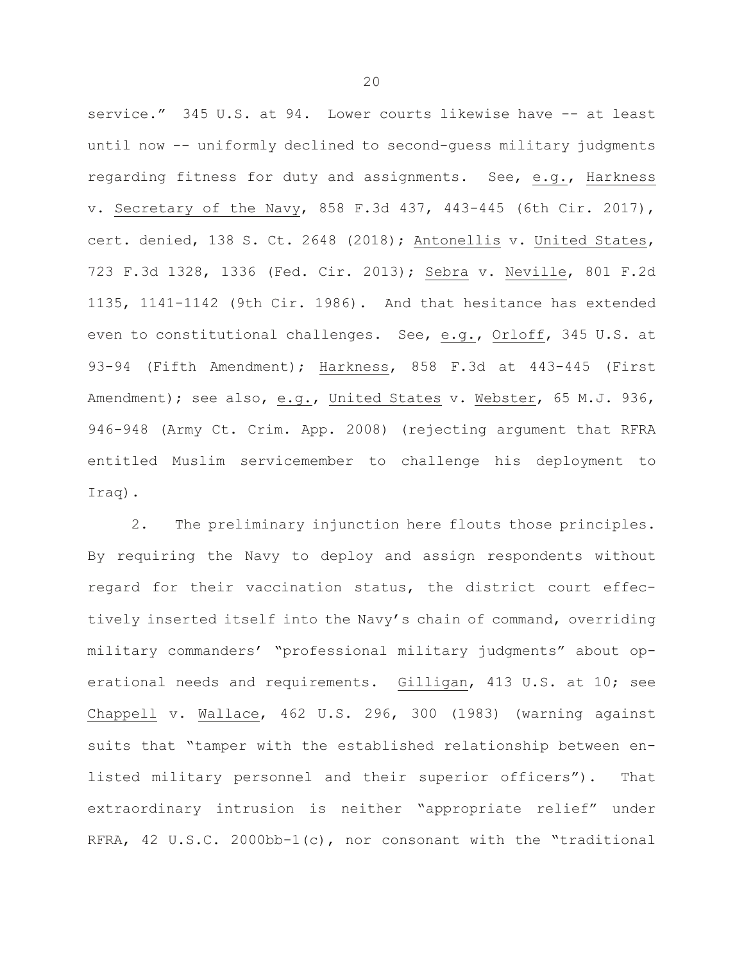service." 345 U.S. at 94. Lower courts likewise have -- at least until now -- uniformly declined to second-guess military judgments regarding fitness for duty and assignments. See, e.g., Harkness v. Secretary of the Navy, 858 F.3d 437, 443-445 (6th Cir. 2017), cert. denied, 138 S. Ct. 2648 (2018); Antonellis v. United States, 723 F.3d 1328, 1336 (Fed. Cir. 2013); Sebra v. Neville, 801 F.2d 1135, 1141-1142 (9th Cir. 1986). And that hesitance has extended even to constitutional challenges. See, e.g., Orloff, 345 U.S. at 93-94 (Fifth Amendment); Harkness, 858 F.3d at 443-445 (First Amendment); see also, e.g., United States v. Webster, 65 M.J. 936, 946-948 (Army Ct. Crim. App. 2008) (rejecting argument that RFRA entitled Muslim servicemember to challenge his deployment to Iraq).

2. The preliminary injunction here flouts those principles. By requiring the Navy to deploy and assign respondents without regard for their vaccination status, the district court effectively inserted itself into the Navy's chain of command, overriding military commanders' "professional military judgments" about operational needs and requirements. Gilligan, 413 U.S. at 10; see Chappell v. Wallace, 462 U.S. 296, 300 (1983) (warning against suits that "tamper with the established relationship between enlisted military personnel and their superior officers"). That extraordinary intrusion is neither "appropriate relief" under RFRA, 42 U.S.C. 2000bb-1(c), nor consonant with the "traditional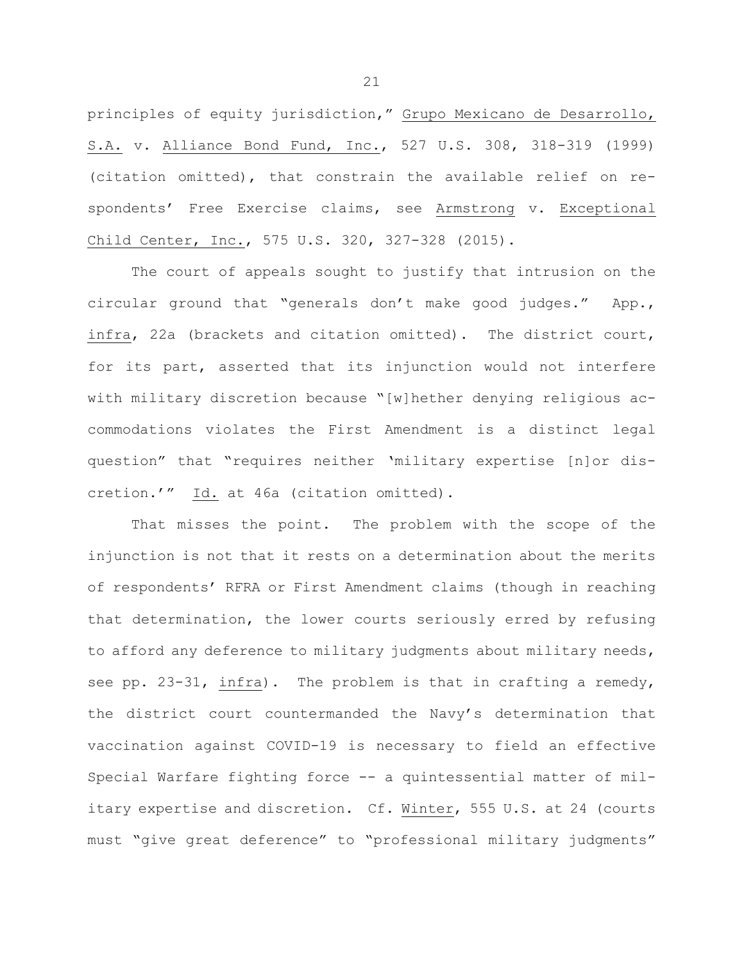principles of equity jurisdiction," Grupo Mexicano de Desarrollo, S.A. v. Alliance Bond Fund, Inc., 527 U.S. 308, 318-319 (1999) (citation omitted), that constrain the available relief on respondents' Free Exercise claims, see Armstrong v. Exceptional Child Center, Inc., 575 U.S. 320, 327-328 (2015).

The court of appeals sought to justify that intrusion on the circular ground that "generals don't make good judges." App., infra, 22a (brackets and citation omitted). The district court, for its part, asserted that its injunction would not interfere with military discretion because "[w]hether denying religious accommodations violates the First Amendment is a distinct legal question" that "requires neither 'military expertise [n]or discretion.'" Id. at 46a (citation omitted).

That misses the point. The problem with the scope of the injunction is not that it rests on a determination about the merits of respondents' RFRA or First Amendment claims (though in reaching that determination, the lower courts seriously erred by refusing to afford any deference to military judgments about military needs, see pp. 23-31, infra). The problem is that in crafting a remedy, the district court countermanded the Navy's determination that vaccination against COVID-19 is necessary to field an effective Special Warfare fighting force -- a quintessential matter of military expertise and discretion. Cf. Winter, 555 U.S. at 24 (courts must "give great deference" to "professional military judgments"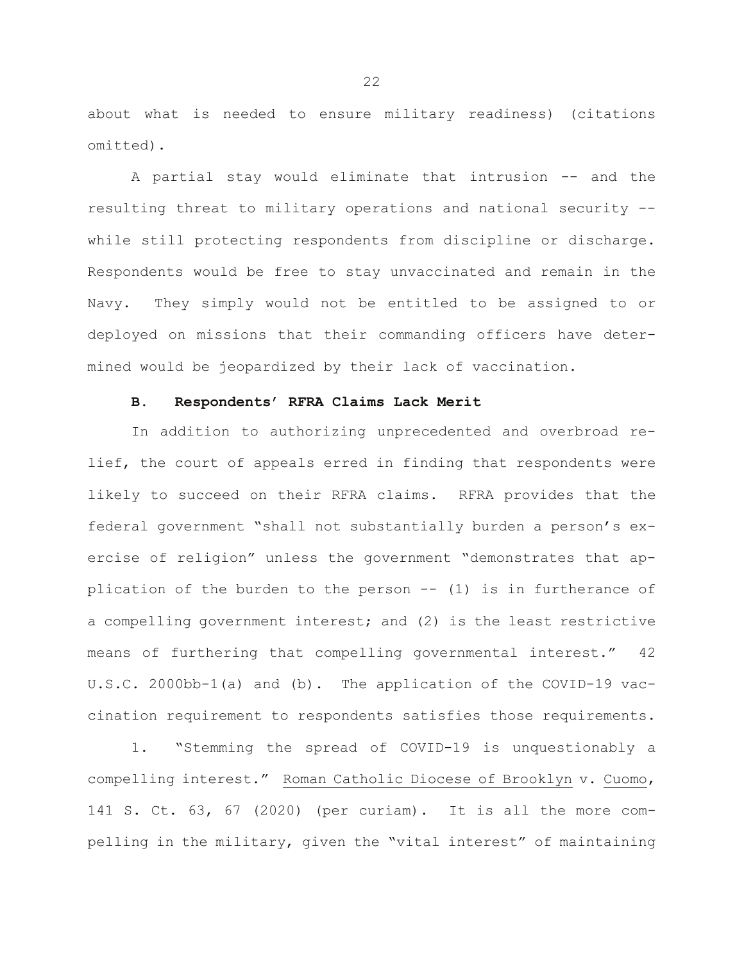about what is needed to ensure military readiness) (citations omitted).

A partial stay would eliminate that intrusion -- and the resulting threat to military operations and national security - while still protecting respondents from discipline or discharge. Respondents would be free to stay unvaccinated and remain in the Navy. They simply would not be entitled to be assigned to or deployed on missions that their commanding officers have determined would be jeopardized by their lack of vaccination.

## **B. Respondents' RFRA Claims Lack Merit**

In addition to authorizing unprecedented and overbroad relief, the court of appeals erred in finding that respondents were likely to succeed on their RFRA claims. RFRA provides that the federal government "shall not substantially burden a person's exercise of religion" unless the government "demonstrates that application of the burden to the person -- (1) is in furtherance of a compelling government interest; and (2) is the least restrictive means of furthering that compelling governmental interest." 42 U.S.C. 2000bb-1(a) and (b). The application of the COVID-19 vaccination requirement to respondents satisfies those requirements.

1. "Stemming the spread of COVID-19 is unquestionably a compelling interest." Roman Catholic Diocese of Brooklyn v. Cuomo, 141 S. Ct. 63, 67 (2020) (per curiam). It is all the more compelling in the military, given the "vital interest" of maintaining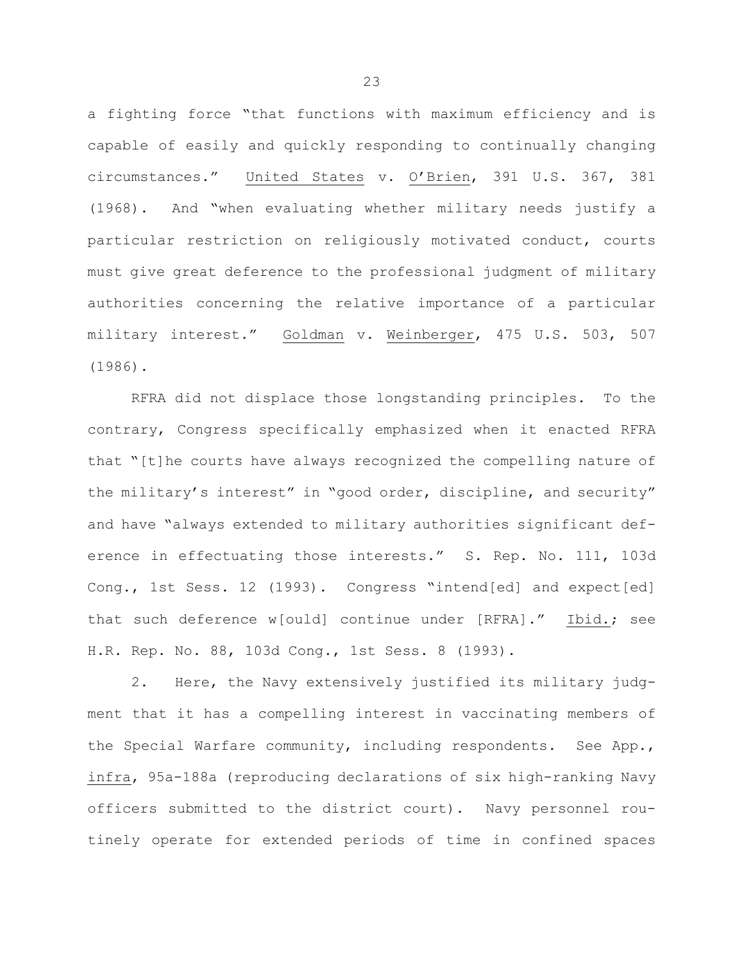a fighting force "that functions with maximum efficiency and is capable of easily and quickly responding to continually changing circumstances." United States v. O'Brien, 391 U.S. 367, 381 (1968). And "when evaluating whether military needs justify a particular restriction on religiously motivated conduct, courts must give great deference to the professional judgment of military authorities concerning the relative importance of a particular military interest." Goldman v. Weinberger, 475 U.S. 503, 507 (1986).

RFRA did not displace those longstanding principles. To the contrary, Congress specifically emphasized when it enacted RFRA that "[t]he courts have always recognized the compelling nature of the military's interest" in "good order, discipline, and security" and have "always extended to military authorities significant deference in effectuating those interests." S. Rep. No. 111, 103d Cong., 1st Sess. 12 (1993). Congress "intend[ed] and expect[ed] that such deference w[ould] continue under [RFRA]." Ibid.; see H.R. Rep. No. 88, 103d Cong., 1st Sess. 8 (1993).

2. Here, the Navy extensively justified its military judgment that it has a compelling interest in vaccinating members of the Special Warfare community, including respondents. See App., infra, 95a-188a (reproducing declarations of six high-ranking Navy officers submitted to the district court). Navy personnel routinely operate for extended periods of time in confined spaces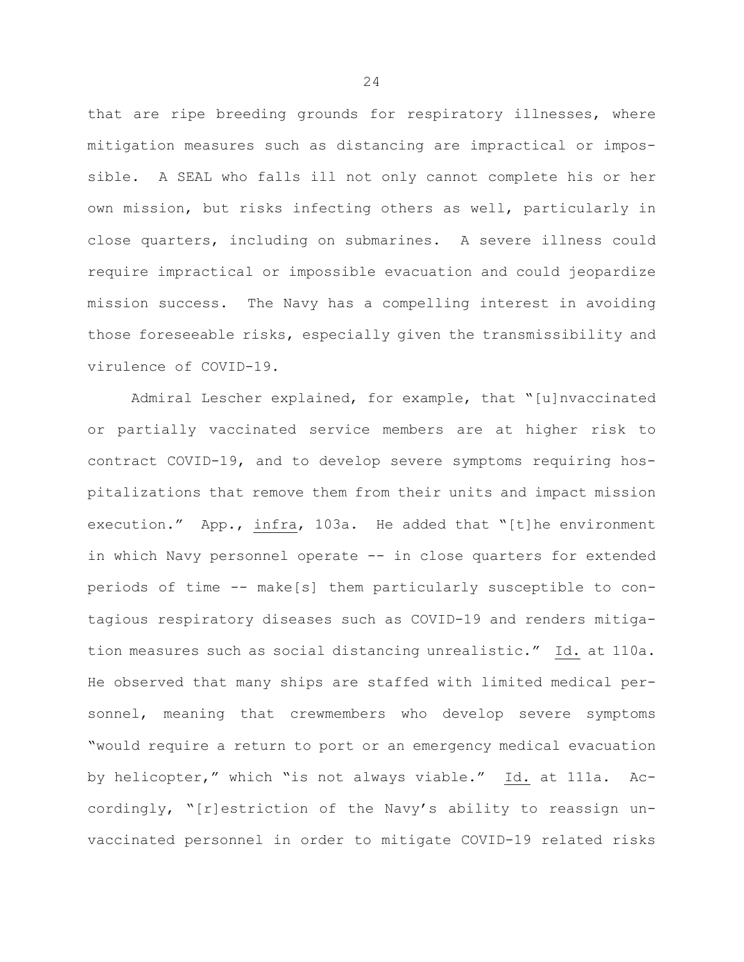that are ripe breeding grounds for respiratory illnesses, where mitigation measures such as distancing are impractical or impossible. A SEAL who falls ill not only cannot complete his or her own mission, but risks infecting others as well, particularly in close quarters, including on submarines. A severe illness could require impractical or impossible evacuation and could jeopardize mission success. The Navy has a compelling interest in avoiding those foreseeable risks, especially given the transmissibility and virulence of COVID-19.

Admiral Lescher explained, for example, that "[u]nvaccinated or partially vaccinated service members are at higher risk to contract COVID-19, and to develop severe symptoms requiring hospitalizations that remove them from their units and impact mission execution." App., infra, 103a. He added that "[t]he environment in which Navy personnel operate -- in close quarters for extended periods of time -- make[s] them particularly susceptible to contagious respiratory diseases such as COVID-19 and renders mitigation measures such as social distancing unrealistic." Id. at 110a. He observed that many ships are staffed with limited medical personnel, meaning that crewmembers who develop severe symptoms "would require a return to port or an emergency medical evacuation by helicopter," which "is not always viable." Id. at 111a. Accordingly, "[r]estriction of the Navy's ability to reassign unvaccinated personnel in order to mitigate COVID-19 related risks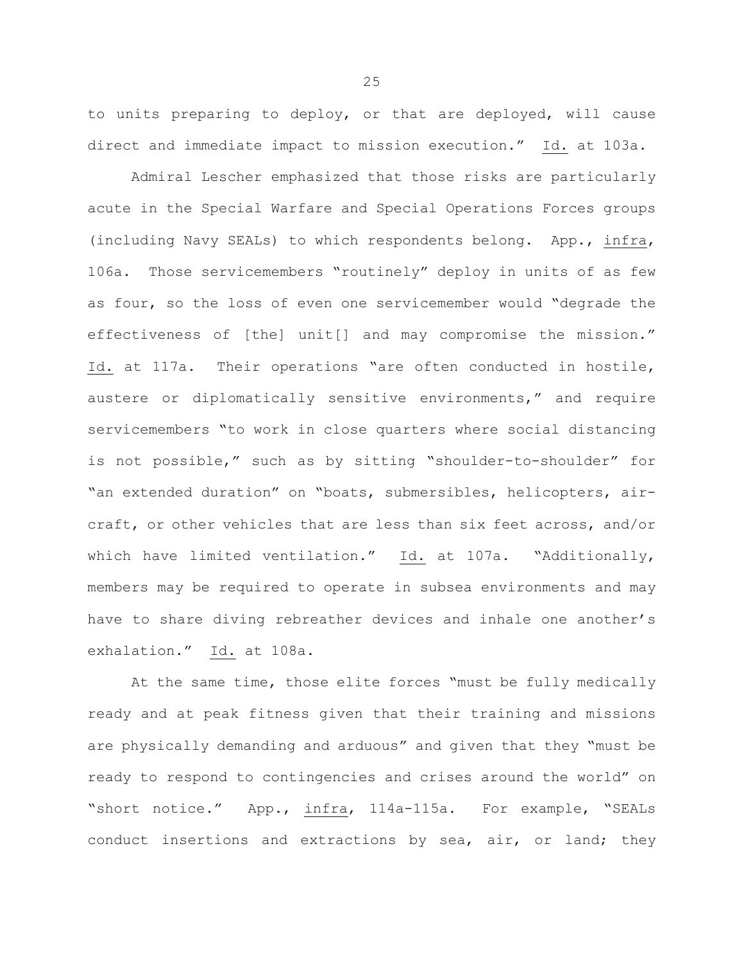to units preparing to deploy, or that are deployed, will cause direct and immediate impact to mission execution." Id. at 103a.

Admiral Lescher emphasized that those risks are particularly acute in the Special Warfare and Special Operations Forces groups (including Navy SEALs) to which respondents belong. App., infra, 106a. Those servicemembers "routinely" deploy in units of as few as four, so the loss of even one servicemember would "degrade the effectiveness of [the] unit[] and may compromise the mission." Id. at 117a. Their operations "are often conducted in hostile, austere or diplomatically sensitive environments," and require servicemembers "to work in close quarters where social distancing is not possible," such as by sitting "shoulder-to-shoulder" for "an extended duration" on "boats, submersibles, helicopters, aircraft, or other vehicles that are less than six feet across, and/or which have limited ventilation." Id. at 107a. "Additionally, members may be required to operate in subsea environments and may have to share diving rebreather devices and inhale one another's exhalation." Id. at 108a.

At the same time, those elite forces "must be fully medically ready and at peak fitness given that their training and missions are physically demanding and arduous" and given that they "must be ready to respond to contingencies and crises around the world" on "short notice." App., infra, 114a-115a. For example, "SEALs conduct insertions and extractions by sea, air, or land; they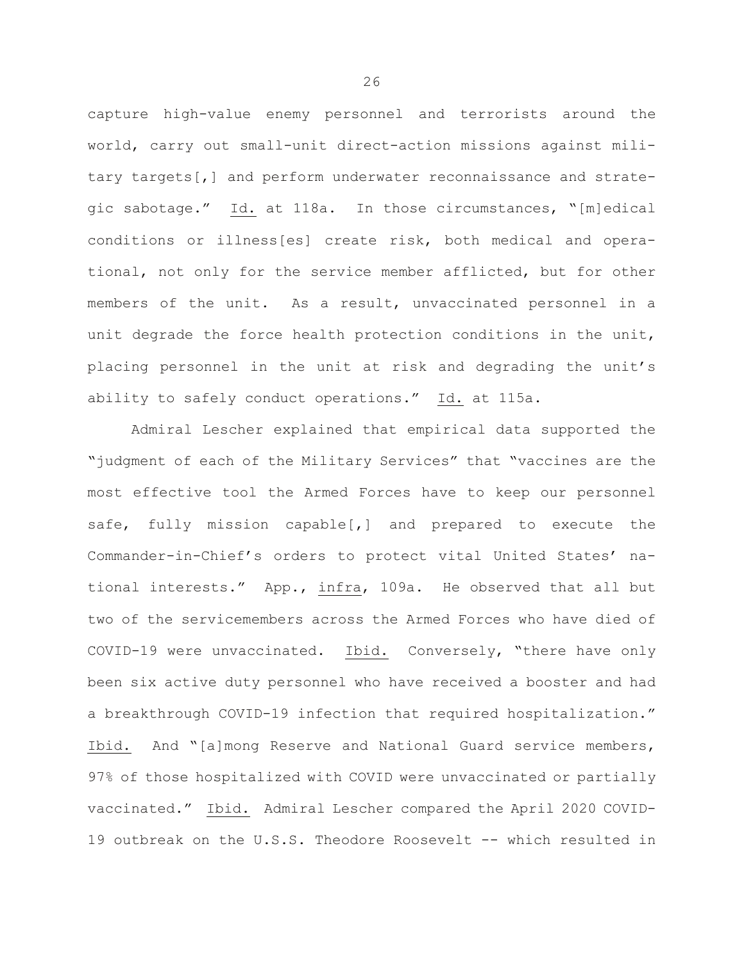capture high-value enemy personnel and terrorists around the world, carry out small-unit direct-action missions against military targets[,] and perform underwater reconnaissance and strategic sabotage." Id. at 118a. In those circumstances, "[m]edical conditions or illness[es] create risk, both medical and operational, not only for the service member afflicted, but for other members of the unit. As a result, unvaccinated personnel in a unit degrade the force health protection conditions in the unit, placing personnel in the unit at risk and degrading the unit's ability to safely conduct operations." Id. at 115a.

Admiral Lescher explained that empirical data supported the "judgment of each of the Military Services" that "vaccines are the most effective tool the Armed Forces have to keep our personnel safe, fully mission capable[,] and prepared to execute the Commander-in-Chief's orders to protect vital United States' national interests." App., infra, 109a. He observed that all but two of the servicemembers across the Armed Forces who have died of COVID-19 were unvaccinated. Ibid. Conversely, "there have only been six active duty personnel who have received a booster and had a breakthrough COVID-19 infection that required hospitalization." Ibid. And "[a]mong Reserve and National Guard service members, 97% of those hospitalized with COVID were unvaccinated or partially vaccinated." Ibid. Admiral Lescher compared the April 2020 COVID-19 outbreak on the U.S.S. Theodore Roosevelt -- which resulted in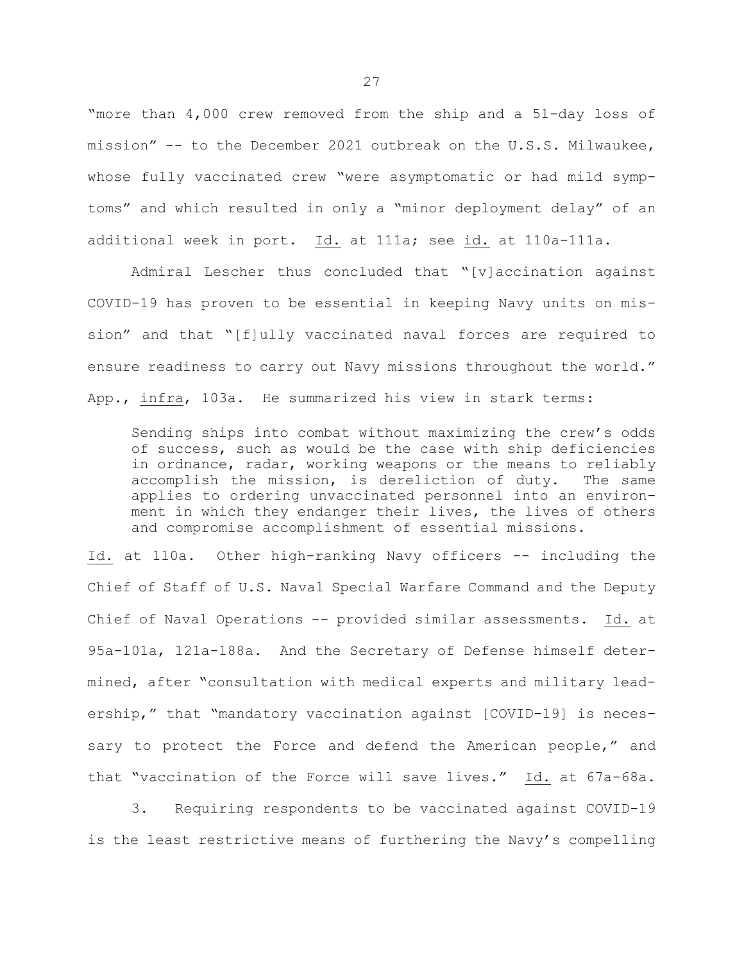"more than 4,000 crew removed from the ship and a 51-day loss of mission" -- to the December 2021 outbreak on the U.S.S. Milwaukee, whose fully vaccinated crew "were asymptomatic or had mild symptoms" and which resulted in only a "minor deployment delay" of an additional week in port. Id. at 111a; see id. at 110a-111a.

Admiral Lescher thus concluded that "[v]accination against COVID-19 has proven to be essential in keeping Navy units on mission" and that "[f]ully vaccinated naval forces are required to ensure readiness to carry out Navy missions throughout the world." App., infra, 103a. He summarized his view in stark terms:

Sending ships into combat without maximizing the crew's odds of success, such as would be the case with ship deficiencies in ordnance, radar, working weapons or the means to reliably<br>accomplish the mission, is dereliction of duty. The same accomplish the mission, is dereliction of duty. applies to ordering unvaccinated personnel into an environment in which they endanger their lives, the lives of others and compromise accomplishment of essential missions.

Id. at 110a. Other high-ranking Navy officers -- including the Chief of Staff of U.S. Naval Special Warfare Command and the Deputy Chief of Naval Operations -- provided similar assessments. Id. at 95a-101a, 121a-188a. And the Secretary of Defense himself determined, after "consultation with medical experts and military leadership," that "mandatory vaccination against [COVID-19] is necessary to protect the Force and defend the American people," and that "vaccination of the Force will save lives." Id. at 67a-68a.

3. Requiring respondents to be vaccinated against COVID-19 is the least restrictive means of furthering the Navy's compelling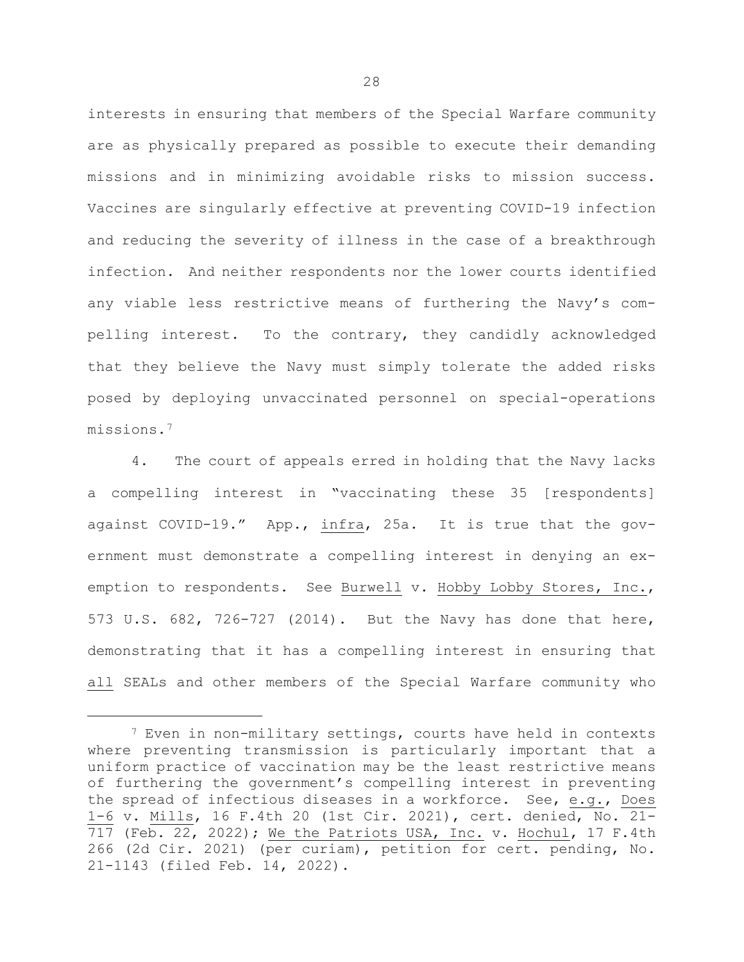interests in ensuring that members of the Special Warfare community are as physically prepared as possible to execute their demanding missions and in minimizing avoidable risks to mission success. Vaccines are singularly effective at preventing COVID-19 infection and reducing the severity of illness in the case of a breakthrough infection. And neither respondents nor the lower courts identified any viable less restrictive means of furthering the Navy's compelling interest. To the contrary, they candidly acknowledged that they believe the Navy must simply tolerate the added risks posed by deploying unvaccinated personnel on special-operations missions.[7](#page-29-0)

4. The court of appeals erred in holding that the Navy lacks a compelling interest in "vaccinating these 35 [respondents] against COVID-19." App., infra, 25a. It is true that the government must demonstrate a compelling interest in denying an exemption to respondents. See Burwell v. Hobby Lobby Stores, Inc., 573 U.S. 682, 726-727 (2014). But the Navy has done that here, demonstrating that it has a compelling interest in ensuring that all SEALs and other members of the Special Warfare community who

<span id="page-29-0"></span> $7$  Even in non-military settings, courts have held in contexts where preventing transmission is particularly important that a uniform practice of vaccination may be the least restrictive means of furthering the government's compelling interest in preventing the spread of infectious diseases in a workforce. See, e.g., Does 1-6 v. Mills, 16 F.4th 20 (1st Cir. 2021), cert. denied, No. 21- 717 (Feb. 22, 2022); We the Patriots USA, Inc. v. Hochul, 17 F.4th 266 (2d Cir. 2021) (per curiam), petition for cert. pending, No. 21-1143 (filed Feb. 14, 2022).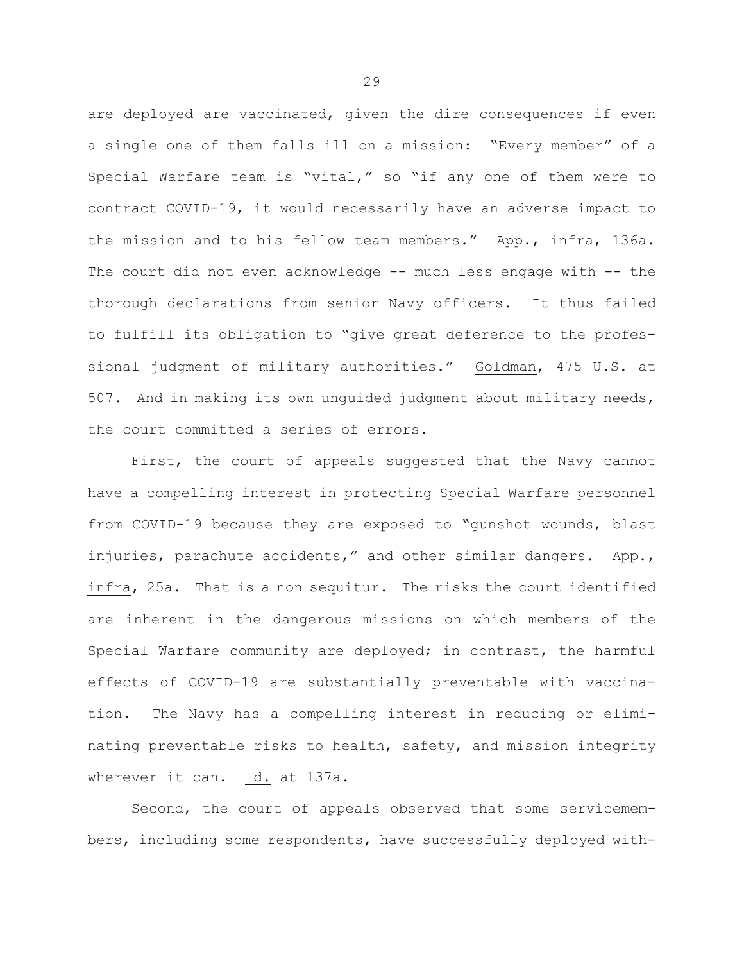are deployed are vaccinated, given the dire consequences if even a single one of them falls ill on a mission: "Every member" of a Special Warfare team is "vital," so "if any one of them were to contract COVID-19, it would necessarily have an adverse impact to the mission and to his fellow team members." App., infra, 136a. The court did not even acknowledge -- much less engage with -- the thorough declarations from senior Navy officers. It thus failed to fulfill its obligation to "give great deference to the professional judgment of military authorities." Goldman, 475 U.S. at 507. And in making its own unguided judgment about military needs, the court committed a series of errors.

First, the court of appeals suggested that the Navy cannot have a compelling interest in protecting Special Warfare personnel from COVID-19 because they are exposed to "gunshot wounds, blast injuries, parachute accidents," and other similar dangers. App., infra, 25a. That is a non sequitur. The risks the court identified are inherent in the dangerous missions on which members of the Special Warfare community are deployed; in contrast, the harmful effects of COVID-19 are substantially preventable with vaccination. The Navy has a compelling interest in reducing or eliminating preventable risks to health, safety, and mission integrity wherever it can. Id. at 137a.

Second, the court of appeals observed that some servicemembers, including some respondents, have successfully deployed with-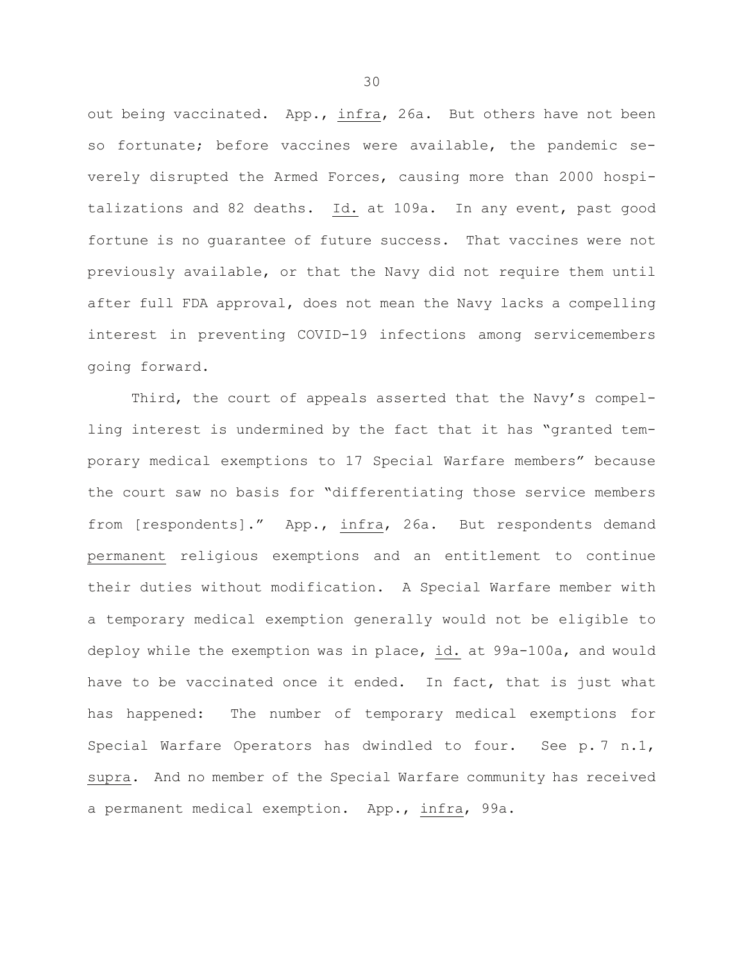out being vaccinated. App., infra, 26a. But others have not been so fortunate; before vaccines were available, the pandemic severely disrupted the Armed Forces, causing more than 2000 hospitalizations and 82 deaths. Id. at 109a. In any event, past good fortune is no guarantee of future success. That vaccines were not previously available, or that the Navy did not require them until after full FDA approval, does not mean the Navy lacks a compelling interest in preventing COVID-19 infections among servicemembers going forward.

Third, the court of appeals asserted that the Navy's compelling interest is undermined by the fact that it has "granted temporary medical exemptions to 17 Special Warfare members" because the court saw no basis for "differentiating those service members from [respondents]." App., infra, 26a. But respondents demand permanent religious exemptions and an entitlement to continue their duties without modification. A Special Warfare member with a temporary medical exemption generally would not be eligible to deploy while the exemption was in place, id. at 99a-100a, and would have to be vaccinated once it ended. In fact, that is just what has happened: The number of temporary medical exemptions for Special Warfare Operators has dwindled to four. See p. 7 n.1, supra. And no member of the Special Warfare community has received a permanent medical exemption. App., infra, 99a.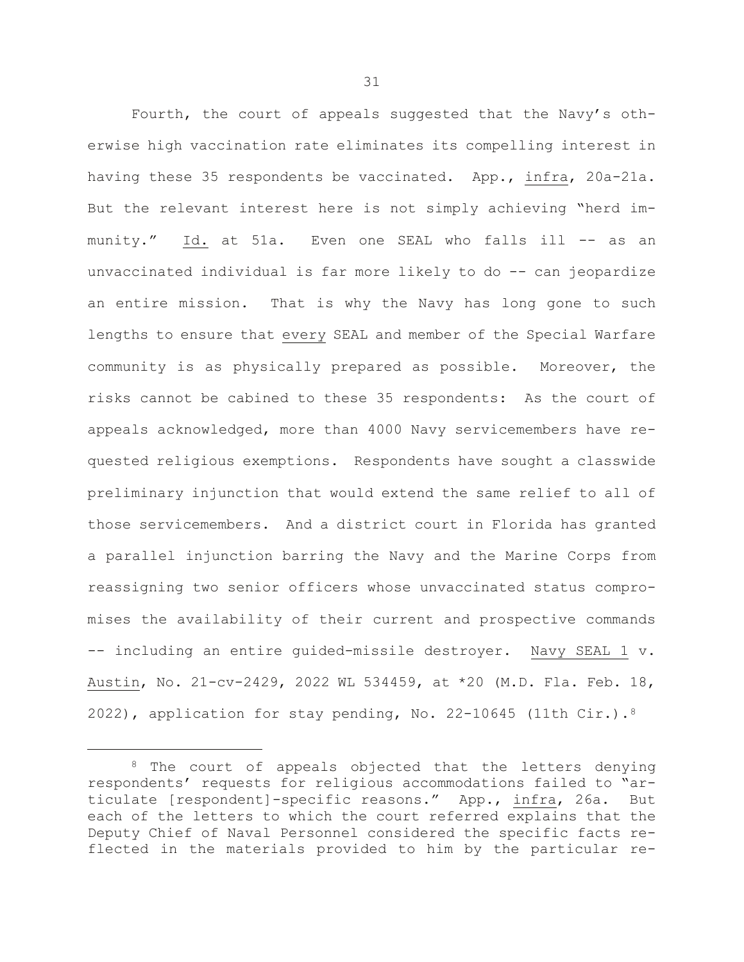Fourth, the court of appeals suggested that the Navy's otherwise high vaccination rate eliminates its compelling interest in having these 35 respondents be vaccinated. App., infra, 20a-21a. But the relevant interest here is not simply achieving "herd immunity." Id. at 51a. Even one SEAL who falls ill -- as an unvaccinated individual is far more likely to do -- can jeopardize an entire mission. That is why the Navy has long gone to such lengths to ensure that every SEAL and member of the Special Warfare community is as physically prepared as possible. Moreover, the risks cannot be cabined to these 35 respondents: As the court of appeals acknowledged, more than 4000 Navy servicemembers have requested religious exemptions. Respondents have sought a classwide preliminary injunction that would extend the same relief to all of those servicemembers. And a district court in Florida has granted a parallel injunction barring the Navy and the Marine Corps from reassigning two senior officers whose unvaccinated status compromises the availability of their current and prospective commands -- including an entire guided-missile destroyer. Navy SEAL 1 v. Austin, No. 21-cv-2429, 2022 WL 534459, at \*20 (M.D. Fla. Feb. 18, 2022), application for stay pending, No. 22-10645 (11th Cir.). $8$ 

<span id="page-32-0"></span><sup>&</sup>lt;sup>8</sup> The court of appeals objected that the letters denying respondents' requests for religious accommodations failed to "articulate [respondent]-specific reasons." App., infra, 26a. But each of the letters to which the court referred explains that the Deputy Chief of Naval Personnel considered the specific facts reflected in the materials provided to him by the particular re-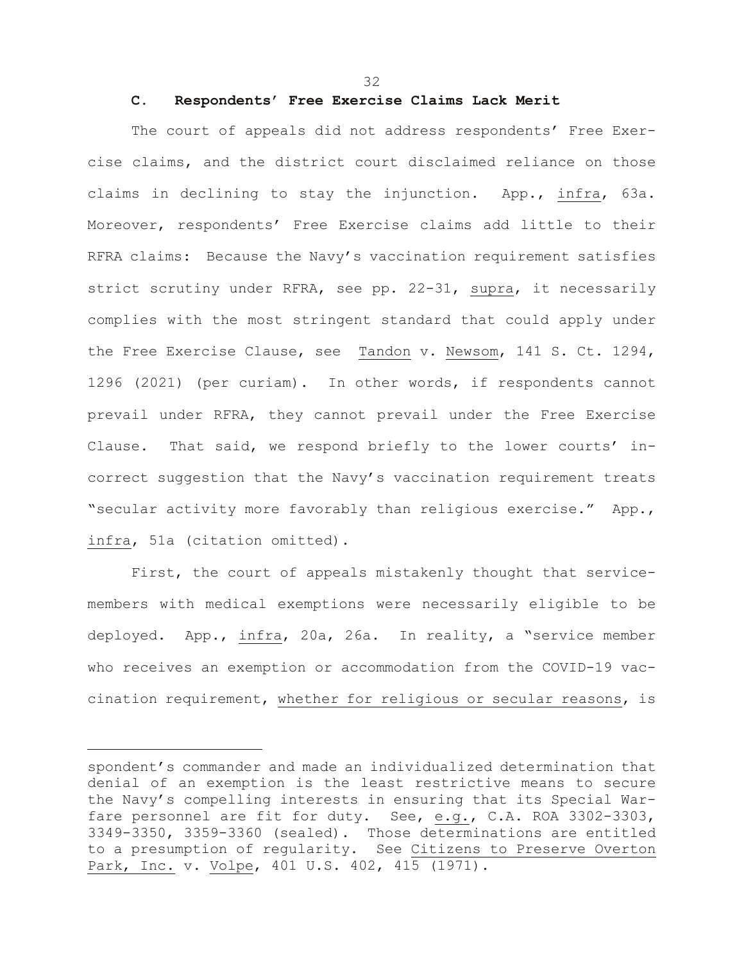32

## **C. Respondents' Free Exercise Claims Lack Merit**

The court of appeals did not address respondents' Free Exercise claims, and the district court disclaimed reliance on those claims in declining to stay the injunction. App., infra, 63a. Moreover, respondents' Free Exercise claims add little to their RFRA claims: Because the Navy's vaccination requirement satisfies strict scrutiny under RFRA, see pp. 22-31, supra, it necessarily complies with the most stringent standard that could apply under the Free Exercise Clause, see Tandon v. Newsom, 141 S. Ct. 1294, 1296 (2021) (per curiam). In other words, if respondents cannot prevail under RFRA, they cannot prevail under the Free Exercise Clause. That said, we respond briefly to the lower courts' incorrect suggestion that the Navy's vaccination requirement treats "secular activity more favorably than religious exercise." App., infra, 51a (citation omitted).

First, the court of appeals mistakenly thought that servicemembers with medical exemptions were necessarily eligible to be deployed. App., infra, 20a, 26a. In reality, a "service member who receives an exemption or accommodation from the COVID-19 vaccination requirement, whether for religious or secular reasons, is

spondent's commander and made an individualized determination that denial of an exemption is the least restrictive means to secure the Navy's compelling interests in ensuring that its Special Warfare personnel are fit for duty. See, e.g., C.A. ROA 3302-3303, 3349-3350, 3359-3360 (sealed). Those determinations are entitled to a presumption of regularity. See Citizens to Preserve Overton Park, Inc. v. Volpe, 401 U.S. 402, 415 (1971).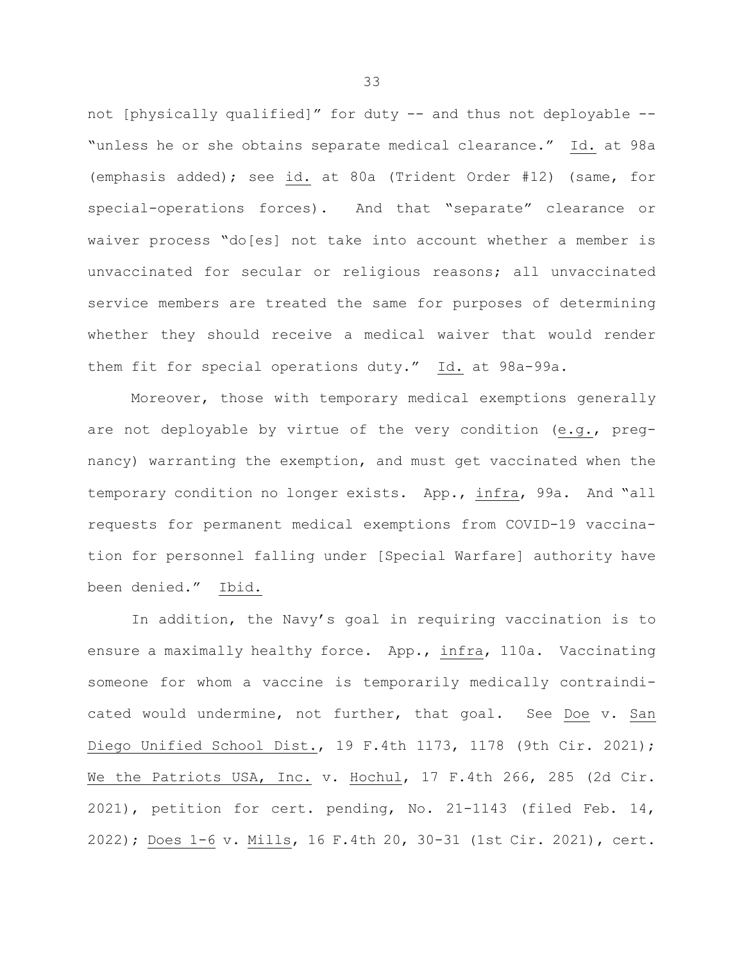not [physically qualified]" for duty -- and thus not deployable -- "unless he or she obtains separate medical clearance." Id. at 98a (emphasis added); see id. at 80a (Trident Order #12) (same, for special-operations forces). And that "separate" clearance or waiver process "do[es] not take into account whether a member is unvaccinated for secular or religious reasons; all unvaccinated service members are treated the same for purposes of determining whether they should receive a medical waiver that would render them fit for special operations duty." Id. at 98a-99a.

Moreover, those with temporary medical exemptions generally are not deployable by virtue of the very condition (e.g., pregnancy) warranting the exemption, and must get vaccinated when the temporary condition no longer exists. App., infra, 99a. And "all requests for permanent medical exemptions from COVID-19 vaccination for personnel falling under [Special Warfare] authority have been denied." Ibid.

In addition, the Navy's goal in requiring vaccination is to ensure a maximally healthy force. App., infra, 110a. Vaccinating someone for whom a vaccine is temporarily medically contraindicated would undermine, not further, that goal. See Doe v. San Diego Unified School Dist., 19 F.4th 1173, 1178 (9th Cir. 2021); We the Patriots USA, Inc. v. Hochul, 17 F.4th 266, 285 (2d Cir. 2021), petition for cert. pending, No. 21-1143 (filed Feb. 14, 2022); Does 1-6 v. Mills, 16 F.4th 20, 30-31 (1st Cir. 2021), cert.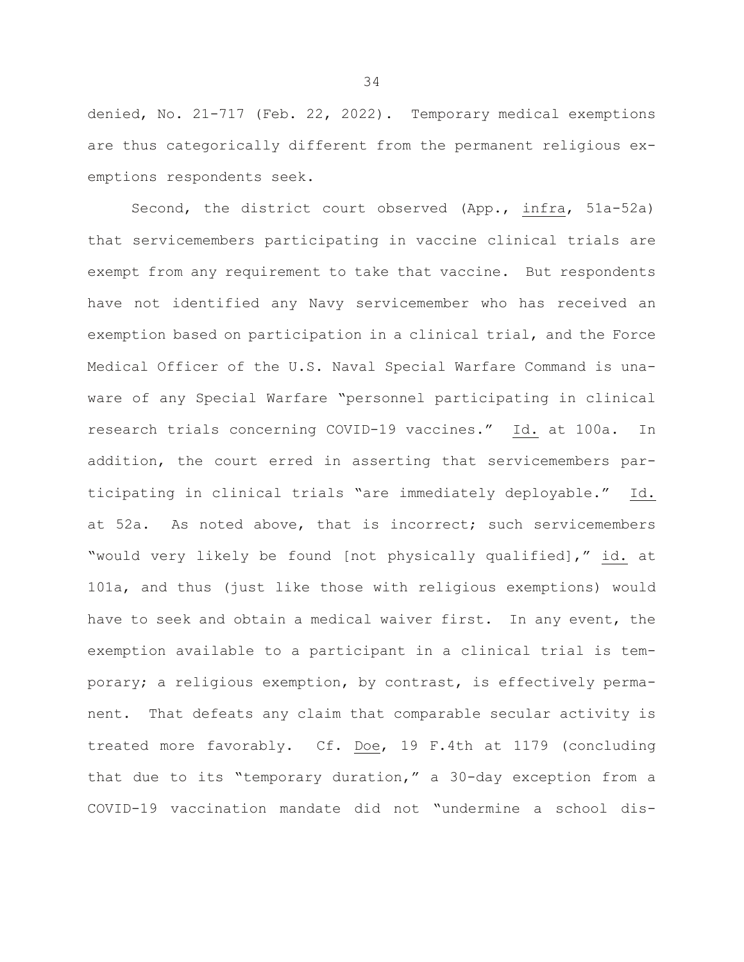denied, No. 21-717 (Feb. 22, 2022). Temporary medical exemptions are thus categorically different from the permanent religious exemptions respondents seek.

Second, the district court observed (App., infra, 51a-52a) that servicemembers participating in vaccine clinical trials are exempt from any requirement to take that vaccine. But respondents have not identified any Navy servicemember who has received an exemption based on participation in a clinical trial, and the Force Medical Officer of the U.S. Naval Special Warfare Command is unaware of any Special Warfare "personnel participating in clinical research trials concerning COVID-19 vaccines." Id. at 100a. In addition, the court erred in asserting that servicemembers participating in clinical trials "are immediately deployable." Id. at 52a. As noted above, that is incorrect; such servicemembers "would very likely be found [not physically qualified]," id. at 101a, and thus (just like those with religious exemptions) would have to seek and obtain a medical waiver first. In any event, the exemption available to a participant in a clinical trial is temporary; a religious exemption, by contrast, is effectively permanent. That defeats any claim that comparable secular activity is treated more favorably. Cf. Doe, 19 F.4th at 1179 (concluding that due to its "temporary duration," a 30-day exception from a COVID-19 vaccination mandate did not "undermine a school dis-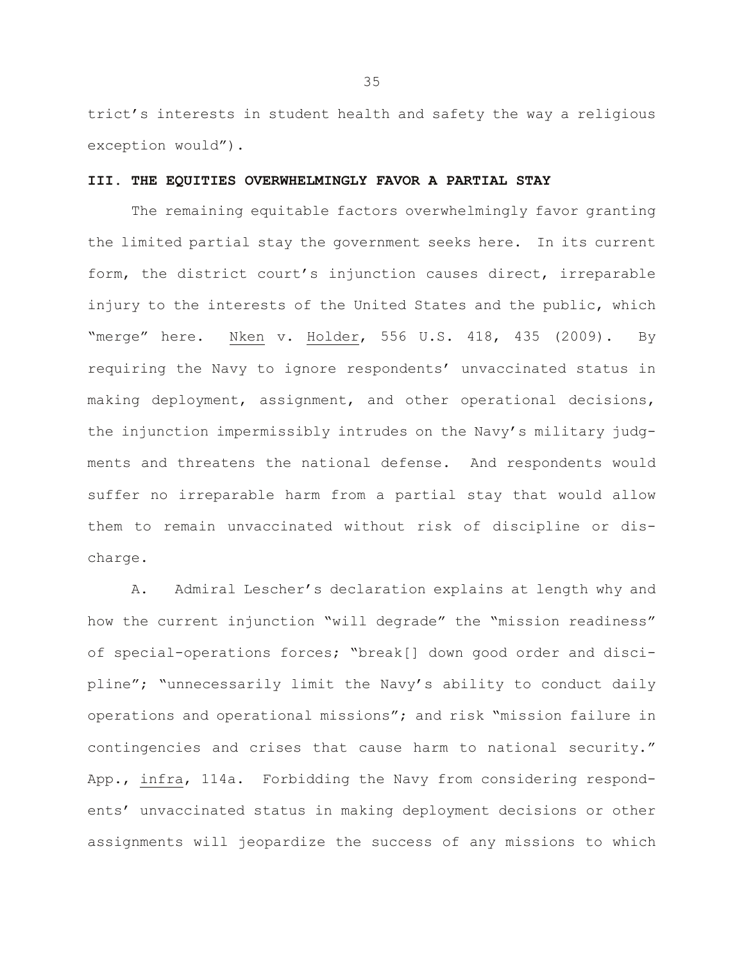trict's interests in student health and safety the way a religious exception would").

### **III. THE EQUITIES OVERWHELMINGLY FAVOR A PARTIAL STAY**

The remaining equitable factors overwhelmingly favor granting the limited partial stay the government seeks here. In its current form, the district court's injunction causes direct, irreparable injury to the interests of the United States and the public, which "merge" here. Nken v. Holder, 556 U.S. 418, 435 (2009). By requiring the Navy to ignore respondents' unvaccinated status in making deployment, assignment, and other operational decisions, the injunction impermissibly intrudes on the Navy's military judgments and threatens the national defense. And respondents would suffer no irreparable harm from a partial stay that would allow them to remain unvaccinated without risk of discipline or discharge.

A. Admiral Lescher's declaration explains at length why and how the current injunction "will degrade" the "mission readiness" of special-operations forces; "break[] down good order and discipline"; "unnecessarily limit the Navy's ability to conduct daily operations and operational missions"; and risk "mission failure in contingencies and crises that cause harm to national security." App., infra, 114a. Forbidding the Navy from considering respondents' unvaccinated status in making deployment decisions or other assignments will jeopardize the success of any missions to which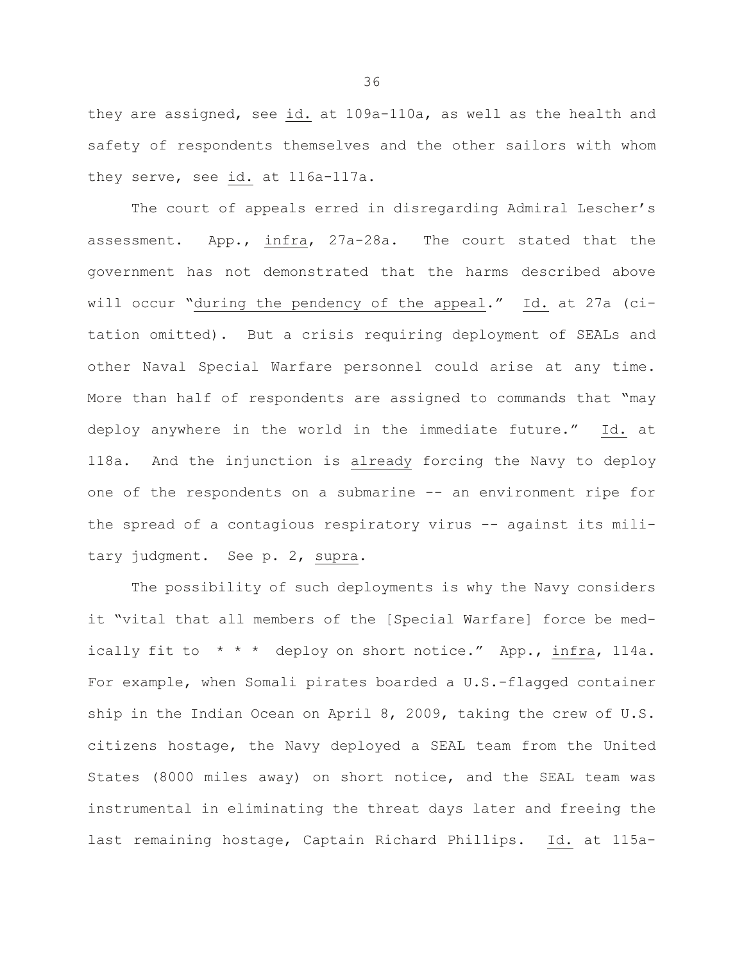they are assigned, see id. at 109a-110a, as well as the health and safety of respondents themselves and the other sailors with whom they serve, see id. at 116a-117a.

The court of appeals erred in disregarding Admiral Lescher's assessment. App., infra, 27a-28a. The court stated that the government has not demonstrated that the harms described above will occur "during the pendency of the appeal." Id. at 27a (citation omitted). But a crisis requiring deployment of SEALs and other Naval Special Warfare personnel could arise at any time. More than half of respondents are assigned to commands that "may deploy anywhere in the world in the immediate future." Id. at 118a. And the injunction is already forcing the Navy to deploy one of the respondents on a submarine -- an environment ripe for the spread of a contagious respiratory virus -- against its military judgment. See p. 2, supra.

The possibility of such deployments is why the Navy considers it "vital that all members of the [Special Warfare] force be medically fit to  $* * *$  deploy on short notice." App., infra, 114a. For example, when Somali pirates boarded a U.S.-flagged container ship in the Indian Ocean on April 8, 2009, taking the crew of U.S. citizens hostage, the Navy deployed a SEAL team from the United States (8000 miles away) on short notice, and the SEAL team was instrumental in eliminating the threat days later and freeing the last remaining hostage, Captain Richard Phillips. Id. at 115a-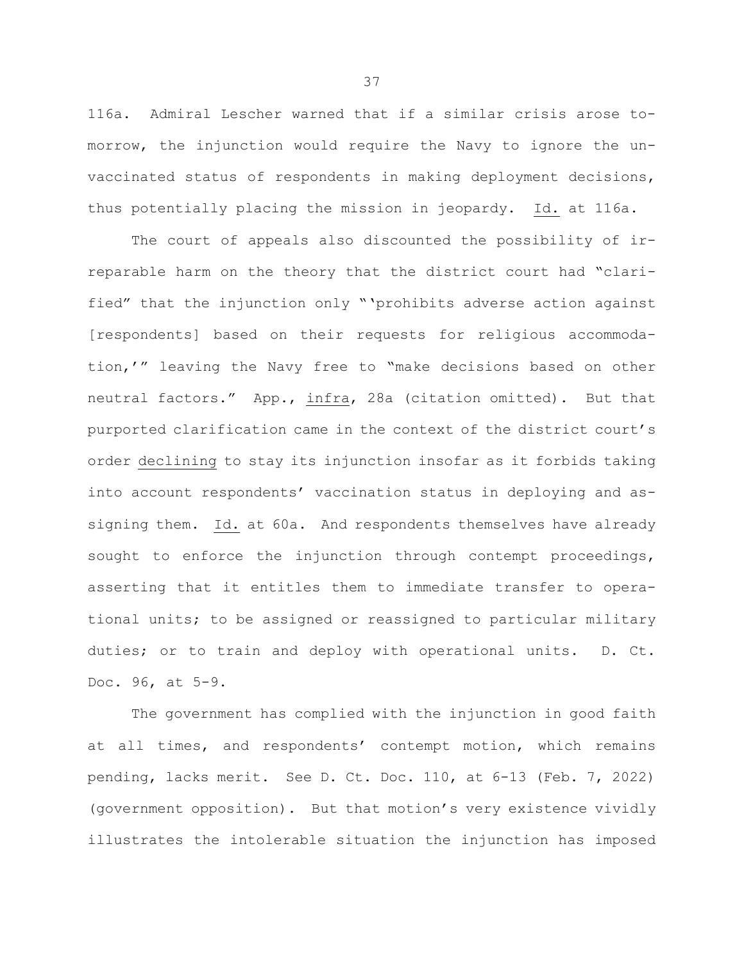116a. Admiral Lescher warned that if a similar crisis arose tomorrow, the injunction would require the Navy to ignore the unvaccinated status of respondents in making deployment decisions, thus potentially placing the mission in jeopardy. Id. at 116a.

The court of appeals also discounted the possibility of irreparable harm on the theory that the district court had "clarified" that the injunction only "'prohibits adverse action against [respondents] based on their requests for religious accommodation,'" leaving the Navy free to "make decisions based on other neutral factors." App., infra, 28a (citation omitted). But that purported clarification came in the context of the district court's order declining to stay its injunction insofar as it forbids taking into account respondents' vaccination status in deploying and assigning them. Id. at 60a. And respondents themselves have already sought to enforce the injunction through contempt proceedings, asserting that it entitles them to immediate transfer to operational units; to be assigned or reassigned to particular military duties; or to train and deploy with operational units. D. Ct. Doc. 96, at 5-9.

The government has complied with the injunction in good faith at all times, and respondents' contempt motion, which remains pending, lacks merit. See D. Ct. Doc. 110, at 6-13 (Feb. 7, 2022) (government opposition). But that motion's very existence vividly illustrates the intolerable situation the injunction has imposed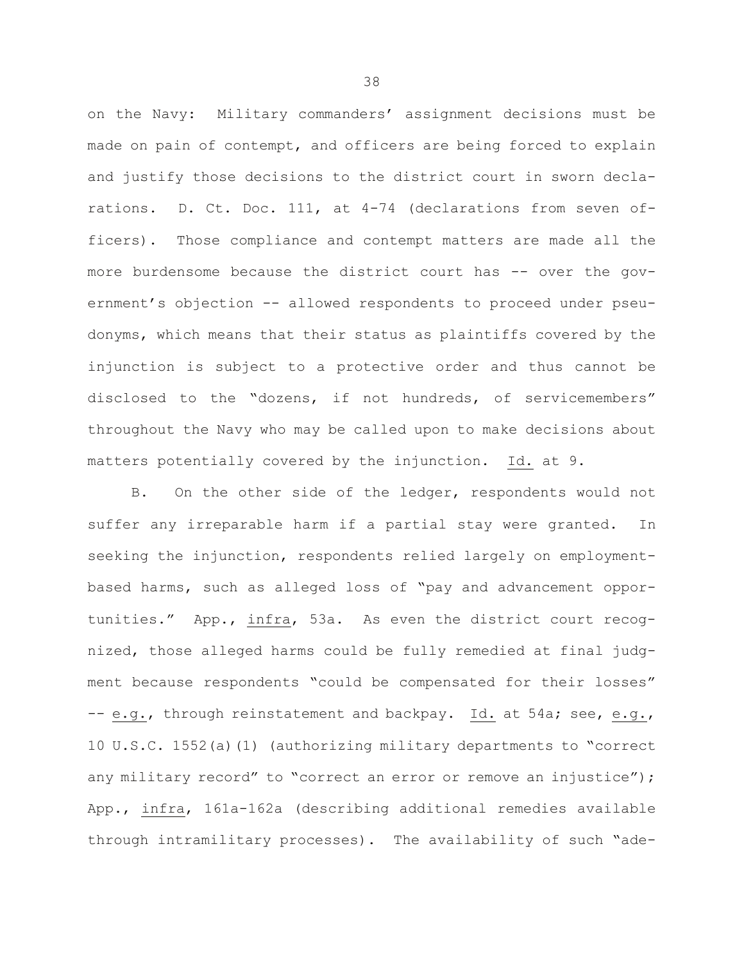on the Navy: Military commanders' assignment decisions must be made on pain of contempt, and officers are being forced to explain and justify those decisions to the district court in sworn declarations. D. Ct. Doc. 111, at 4-74 (declarations from seven officers). Those compliance and contempt matters are made all the more burdensome because the district court has -- over the government's objection -- allowed respondents to proceed under pseudonyms, which means that their status as plaintiffs covered by the injunction is subject to a protective order and thus cannot be disclosed to the "dozens, if not hundreds, of servicemembers" throughout the Navy who may be called upon to make decisions about matters potentially covered by the injunction. Id. at 9.

B. On the other side of the ledger, respondents would not suffer any irreparable harm if a partial stay were granted. In seeking the injunction, respondents relied largely on employmentbased harms, such as alleged loss of "pay and advancement opportunities." App., infra, 53a. As even the district court recognized, those alleged harms could be fully remedied at final judgment because respondents "could be compensated for their losses" -- e.g., through reinstatement and backpay. Id. at 54a; see, e.g., 10 U.S.C. 1552(a)(1) (authorizing military departments to "correct any military record" to "correct an error or remove an injustice"); App., infra, 161a-162a (describing additional remedies available through intramilitary processes). The availability of such "ade-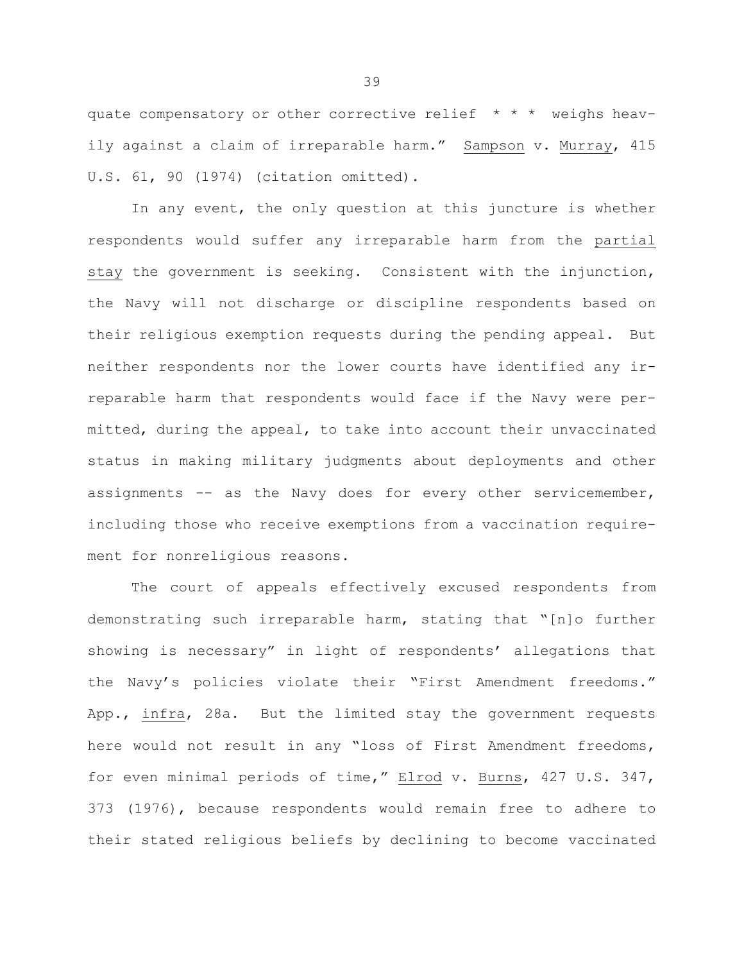quate compensatory or other corrective relief \* \* \* weighs heavily against a claim of irreparable harm." Sampson v. Murray, 415 U.S. 61, 90 (1974) (citation omitted).

In any event, the only question at this juncture is whether respondents would suffer any irreparable harm from the partial stay the government is seeking. Consistent with the injunction, the Navy will not discharge or discipline respondents based on their religious exemption requests during the pending appeal. But neither respondents nor the lower courts have identified any irreparable harm that respondents would face if the Navy were permitted, during the appeal, to take into account their unvaccinated status in making military judgments about deployments and other assignments -- as the Navy does for every other servicemember, including those who receive exemptions from a vaccination requirement for nonreligious reasons.

The court of appeals effectively excused respondents from demonstrating such irreparable harm, stating that "[n]o further showing is necessary" in light of respondents' allegations that the Navy's policies violate their "First Amendment freedoms." App., infra, 28a. But the limited stay the government requests here would not result in any "loss of First Amendment freedoms, for even minimal periods of time," Elrod v. Burns, 427 U.S. 347, 373 (1976), because respondents would remain free to adhere to their stated religious beliefs by declining to become vaccinated